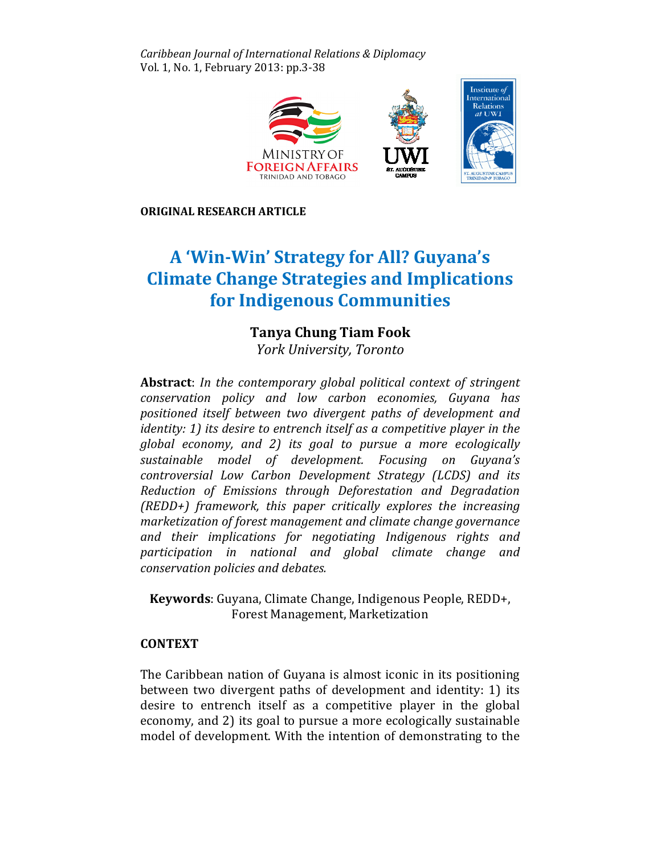Caribbean Journal of International Relations & Diplomacy Vol. 1, No. 1, February 2013: pp.3-38



ORIGINAL RESEARCH ARTICLE

# A 'Win-Win' Strategy for All? Guyana's A 'Win-Win' Strategy for All? Guyana's<br>Climate Change Strategies and Implications for Indigenous Communities Communities

# Tanya Chung Tiam Fook

York University, Toronto

Abstract: In the contemporary global political context of stringent conservation policy and low carbon economies, Guyana has positioned itself between two divergent paths of development and identity: 1) its desire to entrench itself as a competitive player in the global economy, and 2) its goal to pursue a more ecologically sustainable model of development. Focusing on Guyana's controversial Low Carbon Development Strategy (LCDS) and its Reduction of Emissions through Deforestation and Degradation Degradation (REDD+) framework, this paper critically explores the increasing marketization of forest management and climate change governance governance and their implications for negotiating Indigenous rights and participation in national and global climate change and in change and conservation policies and debates.

Keywords: Guyana, Climate Change, Indigenous People, REDD+, Forest Management, Marketization

# **CONTEXT**

The Caribbean nation of Guyana is almost iconic in its positioning between two divergent paths of development and identity: 1) its desire to entrench itself as a competitive player in the global economy, and 2) its goal to pursue a more ecologically sustainable model of development. With the intention of demonstrating to the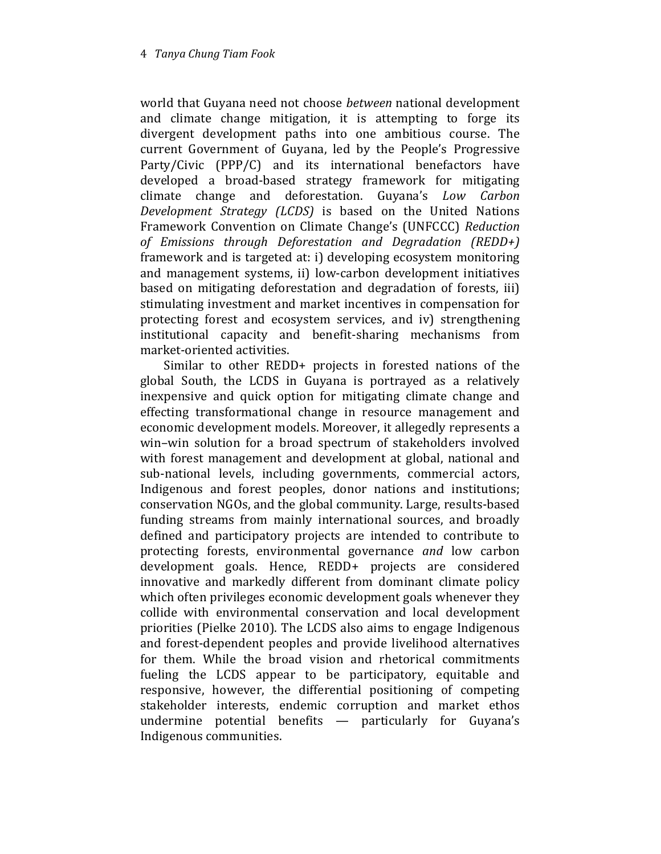world that Guyana need not choose between national development and climate change mitigation, it is attempting to forge its divergent development paths into one ambitious course. The current Government of Guyana, led by the People's Progressive Party/Civic (PPP/C) and its international benefactors have developed a broad-based strategy framework for mitigating climate change and deforestation. Guyana's Low Carbon Development Strategy (LCDS) is based on the United Nations Framework Convention on Climate Change's (UNFCCC) Reduction of Emissions through Deforestation and Degradation (REDD+) framework and is targeted at: i) developing ecosystem monitoring and management systems, ii) low-carbon development initiatives based on mitigating deforestation and degradation of forests, iii) stimulating investment and market incentives in compensation for protecting forest and ecosystem services, and iv) strengthening institutional capacity and benefit-sharing mechanisms from market-oriented activities.

Similar to other REDD+ projects in forested nations of the global South, the LCDS in Guyana is portrayed as a relatively inexpensive and quick option for mitigating climate change and effecting transformational change in resource management and economic development models. Moreover, it allegedly represents a win–win solution for a broad spectrum of stakeholders involved with forest management and development at global, national and sub-national levels, including governments, commercial actors, Indigenous and forest peoples, donor nations and institutions; conservation NGOs, and the global community. Large, results-based funding streams from mainly international sources, and broadly defined and participatory projects are intended to contribute to protecting forests, environmental governance and low carbon development goals. Hence, REDD+ projects are considered innovative and markedly different from dominant climate policy which often privileges economic development goals whenever they collide with environmental conservation and local development priorities (Pielke 2010). The LCDS also aims to engage Indigenous and forest-dependent peoples and provide livelihood alternatives for them. While the broad vision and rhetorical commitments fueling the LCDS appear to be participatory, equitable and responsive, however, the differential positioning of competing stakeholder interests, endemic corruption and market ethos undermine potential benefits — particularly for Guyana's Indigenous communities.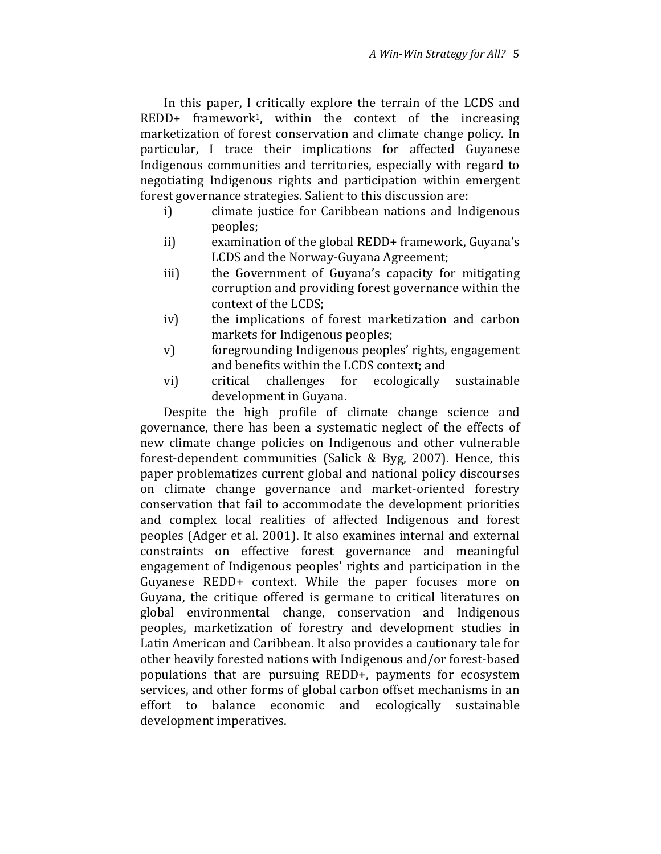In this paper, I critically explore the terrain of the LCDS and REDD+ framework1, within the context of the increasing marketization of forest conservation and climate change policy. In particular, I trace their implications for affected Guyanese Indigenous communities and territories, especially with regard to negotiating Indigenous rights and participation within emergent forest governance strategies. Salient to this discussion are:

- i) climate justice for Caribbean nations and Indigenous peoples;
- ii) examination of the global REDD+ framework, Guyana's LCDS and the Norway-Guyana Agreement;
- iii) the Government of Guyana's capacity for mitigating corruption and providing forest governance within the context of the LCDS;
- iv) the implications of forest marketization and carbon markets for Indigenous peoples;
- v) foregrounding Indigenous peoples' rights, engagement and benefits within the LCDS context; and
- vi) critical challenges for ecologically sustainable development in Guyana.

Despite the high profile of climate change science and governance, there has been a systematic neglect of the effects of new climate change policies on Indigenous and other vulnerable forest-dependent communities (Salick & Byg, 2007). Hence, this paper problematizes current global and national policy discourses on climate change governance and market-oriented forestry conservation that fail to accommodate the development priorities and complex local realities of affected Indigenous and forest peoples (Adger et al. 2001). It also examines internal and external constraints on effective forest governance and meaningful engagement of Indigenous peoples' rights and participation in the Guyanese REDD+ context. While the paper focuses more on Guyana, the critique offered is germane to critical literatures on global environmental change, conservation and Indigenous peoples, marketization of forestry and development studies in Latin American and Caribbean. It also provides a cautionary tale for other heavily forested nations with Indigenous and/or forest-based populations that are pursuing REDD+, payments for ecosystem services, and other forms of global carbon offset mechanisms in an effort to balance economic and ecologically sustainable development imperatives.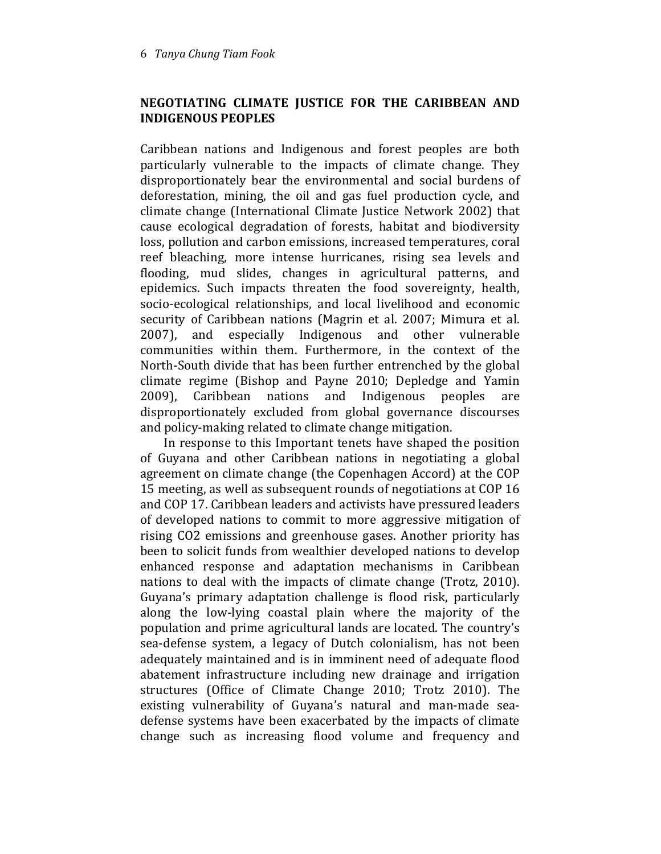## NEGOTIATING CLIMATE JUSTICE FOR THE CARIBBEAN AND INDIGENOUS PEOPLES

Caribbean nations and Indigenous and forest peoples are both particularly vulnerable to the impacts of climate change. They disproportionately bear the environmental and social burdens of deforestation, mining, the oil and gas fuel production cycle, and climate change (International Climate Justice Network 2002) that cause ecological degradation of forests, habitat and biodiversity loss, pollution and carbon emissions, increased temperatures, coral reef bleaching, more intense hurricanes, rising sea levels and flooding, mud slides, changes in agricultural patterns, and epidemics. Such impacts threaten the food sovereignty, health, socio-ecological relationships, and local livelihood and economic security of Caribbean nations (Magrin et al. 2007; Mimura et al. 2007), and especially Indigenous and other vulnerable communities within them. Furthermore, in the context of the North-South divide that has been further entrenched by the global climate regime (Bishop and Payne 2010; Depledge and Yamin 2009), Caribbean nations and Indigenous peoples are disproportionately excluded from global governance discourses and policy-making related to climate change mitigation.

In response to this Important tenets have shaped the position of Guyana and other Caribbean nations in negotiating a global agreement on climate change (the Copenhagen Accord) at the COP 15 meeting, as well as subsequent rounds of negotiations at COP 16 and COP 17. Caribbean leaders and activists have pressured leaders of developed nations to commit to more aggressive mitigation of rising CO2 emissions and greenhouse gases. Another priority has been to solicit funds from wealthier developed nations to develop enhanced response and adaptation mechanisms in Caribbean nations to deal with the impacts of climate change (Trotz, 2010). Guyana's primary adaptation challenge is flood risk, particularly along the low-lying coastal plain where the majority of the population and prime agricultural lands are located. The country's sea-defense system, a legacy of Dutch colonialism, has not been adequately maintained and is in imminent need of adequate flood abatement infrastructure including new drainage and irrigation structures (Office of Climate Change 2010; Trotz 2010). The existing vulnerability of Guyana's natural and man-made seadefense systems have been exacerbated by the impacts of climate change such as increasing flood volume and frequency and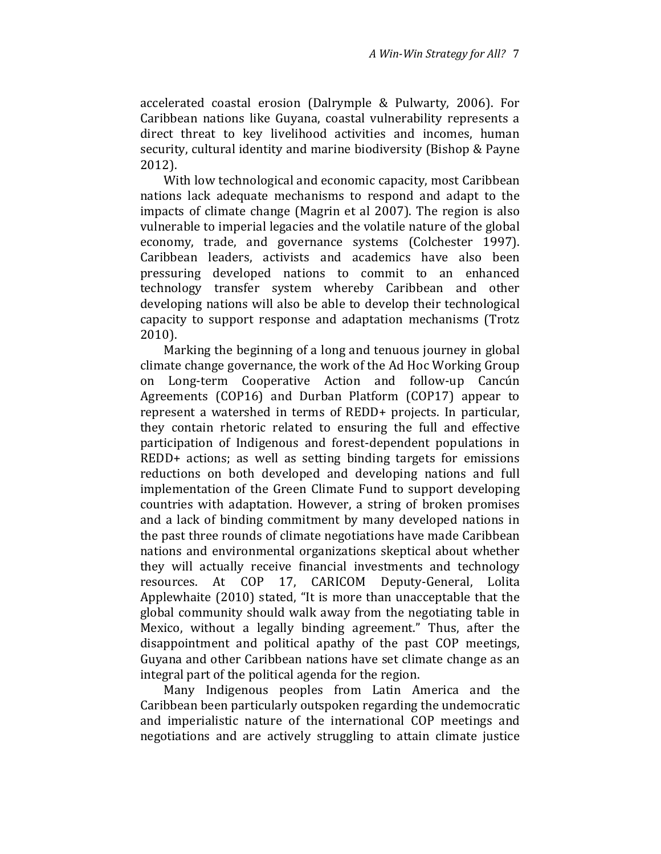accelerated coastal erosion (Dalrymple & Pulwarty, 2006). For Caribbean nations like Guyana, coastal vulnerability represents a direct threat to key livelihood activities and incomes, human security, cultural identity and marine biodiversity (Bishop & Payne 2012).

With low technological and economic capacity, most Caribbean nations lack adequate mechanisms to respond and adapt to the impacts of climate change (Magrin et al 2007). The region is also vulnerable to imperial legacies and the volatile nature of the global economy, trade, and governance systems (Colchester 1997). Caribbean leaders, activists and academics have also been pressuring developed nations to commit to an enhanced technology transfer system whereby Caribbean and other developing nations will also be able to develop their technological capacity to support response and adaptation mechanisms (Trotz 2010).

Marking the beginning of a long and tenuous journey in global climate change governance, the work of the Ad Hoc Working Group on Long-term Cooperative Action and follow-up Cancún Agreements (COP16) and Durban Platform (COP17) appear to represent a watershed in terms of REDD+ projects. In particular, they contain rhetoric related to ensuring the full and effective participation of Indigenous and forest-dependent populations in REDD+ actions; as well as setting binding targets for emissions reductions on both developed and developing nations and full implementation of the Green Climate Fund to support developing countries with adaptation. However, a string of broken promises and a lack of binding commitment by many developed nations in the past three rounds of climate negotiations have made Caribbean nations and environmental organizations skeptical about whether they will actually receive financial investments and technology resources. At COP 17, CARICOM Deputy-General, Lolita Applewhaite (2010) stated, "It is more than unacceptable that the global community should walk away from the negotiating table in Mexico, without a legally binding agreement." Thus, after the disappointment and political apathy of the past COP meetings, Guyana and other Caribbean nations have set climate change as an integral part of the political agenda for the region.

Many Indigenous peoples from Latin America and the Caribbean been particularly outspoken regarding the undemocratic and imperialistic nature of the international COP meetings and negotiations and are actively struggling to attain climate justice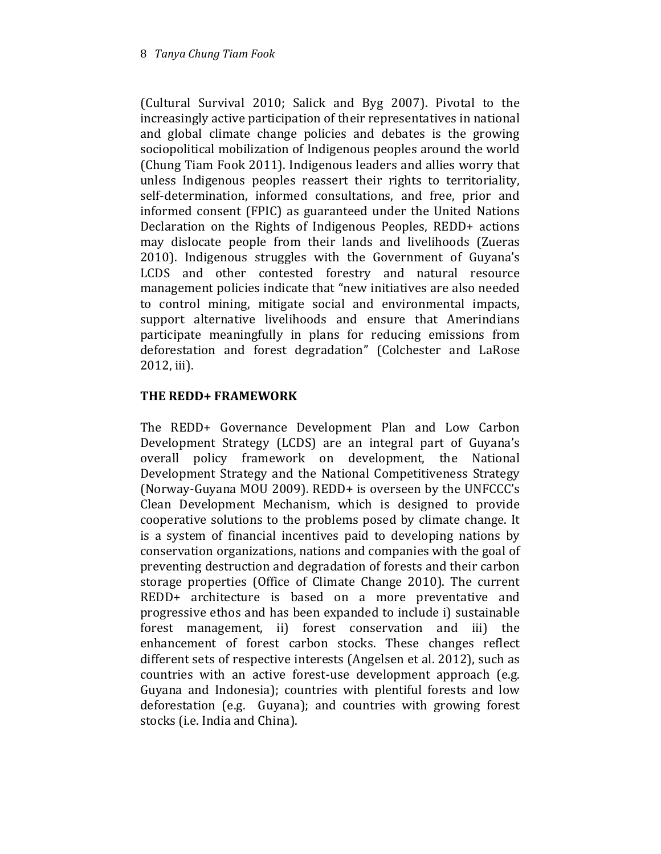(Cultural Survival 2010; Salick and Byg 2007). Pivotal to the increasingly active participation of their representatives in national and global climate change policies and debates is the growing sociopolitical mobilization of Indigenous peoples around the world (Chung Tiam Fook 2011). Indigenous leaders and allies worry that unless Indigenous peoples reassert their rights to territoriality, self-determination, informed consultations, and free, prior and informed consent (FPIC) as guaranteed under the United Nations Declaration on the Rights of Indigenous Peoples, REDD+ actions may dislocate people from their lands and livelihoods (Zueras 2010). Indigenous struggles with the Government of Guyana's LCDS and other contested forestry and natural resource management policies indicate that "new initiatives are also needed to control mining, mitigate social and environmental impacts, support alternative livelihoods and ensure that Amerindians participate meaningfully in plans for reducing emissions from deforestation and forest degradation" (Colchester and LaRose 2012, iii).

# THE REDD+ FRAMEWORK

The REDD+ Governance Development Plan and Low Carbon Development Strategy (LCDS) are an integral part of Guyana's overall policy framework on development, the National Development Strategy and the National Competitiveness Strategy (Norway-Guyana MOU 2009). REDD+ is overseen by the UNFCCC's Clean Development Mechanism, which is designed to provide cooperative solutions to the problems posed by climate change. It is a system of financial incentives paid to developing nations by conservation organizations, nations and companies with the goal of preventing destruction and degradation of forests and their carbon storage properties (Office of Climate Change 2010). The current REDD+ architecture is based on a more preventative and progressive ethos and has been expanded to include i) sustainable forest management, ii) forest conservation and iii) the enhancement of forest carbon stocks. These changes reflect different sets of respective interests (Angelsen et al. 2012), such as countries with an active forest-use development approach (e.g. Guyana and Indonesia); countries with plentiful forests and low deforestation (e.g. Guyana); and countries with growing forest stocks (i.e. India and China).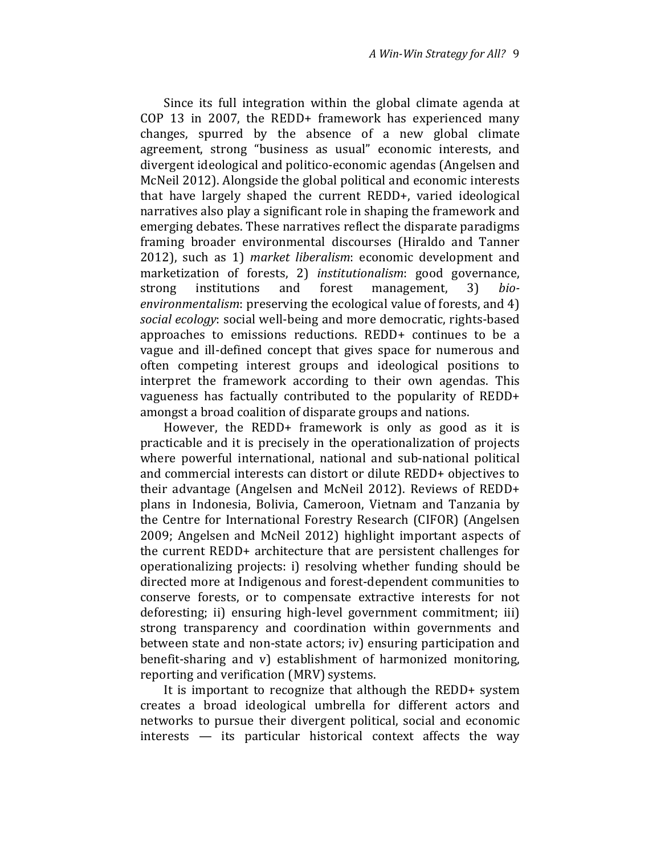Since its full integration within the global climate agenda at COP 13 in 2007, the REDD+ framework has experienced many changes, spurred by the absence of a new global climate agreement, strong "business as usual" economic interests, and divergent ideological and politico-economic agendas (Angelsen and McNeil 2012). Alongside the global political and economic interests that have largely shaped the current REDD+, varied ideological narratives also play a significant role in shaping the framework and emerging debates. These narratives reflect the disparate paradigms framing broader environmental discourses (Hiraldo and Tanner 2012), such as 1) market liberalism: economic development and marketization of forests, 2) institutionalism: good governance, strong institutions and forest management, 3) bioenvironmentalism: preserving the ecological value of forests, and 4) social ecology: social well-being and more democratic, rights-based approaches to emissions reductions. REDD+ continues to be a vague and ill-defined concept that gives space for numerous and often competing interest groups and ideological positions to interpret the framework according to their own agendas. This vagueness has factually contributed to the popularity of REDD+ amongst a broad coalition of disparate groups and nations.

However, the REDD+ framework is only as good as it is practicable and it is precisely in the operationalization of projects where powerful international, national and sub-national political and commercial interests can distort or dilute REDD+ objectives to their advantage (Angelsen and McNeil 2012). Reviews of REDD+ plans in Indonesia, Bolivia, Cameroon, Vietnam and Tanzania by the Centre for International Forestry Research (CIFOR) (Angelsen 2009; Angelsen and McNeil 2012) highlight important aspects of the current REDD+ architecture that are persistent challenges for operationalizing projects: i) resolving whether funding should be directed more at Indigenous and forest-dependent communities to conserve forests, or to compensate extractive interests for not deforesting; ii) ensuring high-level government commitment; iii) strong transparency and coordination within governments and between state and non-state actors; iv) ensuring participation and benefit-sharing and v) establishment of harmonized monitoring, reporting and verification (MRV) systems.

It is important to recognize that although the REDD+ system creates a broad ideological umbrella for different actors and networks to pursue their divergent political, social and economic interests — its particular historical context affects the way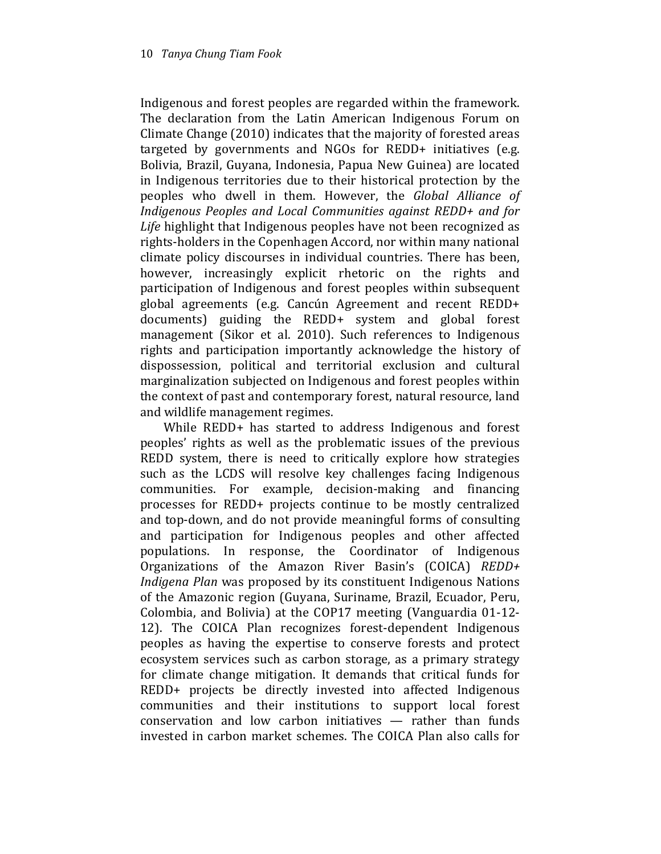Indigenous and forest peoples are regarded within the framework. The declaration from the Latin American Indigenous Forum on Climate Change (2010) indicates that the majority of forested areas targeted by governments and NGOs for REDD+ initiatives (e.g. Bolivia, Brazil, Guyana, Indonesia, Papua New Guinea) are located in Indigenous territories due to their historical protection by the peoples who dwell in them. However, the Global Alliance of Indigenous Peoples and Local Communities against REDD+ and for Life highlight that Indigenous peoples have not been recognized as rights-holders in the Copenhagen Accord, nor within many national climate policy discourses in individual countries. There has been, however, increasingly explicit rhetoric on the rights and participation of Indigenous and forest peoples within subsequent global agreements (e.g. Cancún Agreement and recent REDD+ documents) guiding the REDD+ system and global forest management (Sikor et al. 2010). Such references to Indigenous rights and participation importantly acknowledge the history of dispossession, political and territorial exclusion and cultural marginalization subjected on Indigenous and forest peoples within the context of past and contemporary forest, natural resource, land and wildlife management regimes.

While REDD+ has started to address Indigenous and forest peoples' rights as well as the problematic issues of the previous REDD system, there is need to critically explore how strategies such as the LCDS will resolve key challenges facing Indigenous communities. For example, decision-making and financing processes for REDD+ projects continue to be mostly centralized and top-down, and do not provide meaningful forms of consulting and participation for Indigenous peoples and other affected populations. In response, the Coordinator of Indigenous Organizations of the Amazon River Basin's (COICA) REDD+ Indigena Plan was proposed by its constituent Indigenous Nations of the Amazonic region (Guyana, Suriname, Brazil, Ecuador, Peru, Colombia, and Bolivia) at the COP17 meeting (Vanguardia 01-12- 12). The COICA Plan recognizes forest-dependent Indigenous peoples as having the expertise to conserve forests and protect ecosystem services such as carbon storage, as a primary strategy for climate change mitigation. It demands that critical funds for REDD+ projects be directly invested into affected Indigenous communities and their institutions to support local forest conservation and low carbon initiatives — rather than funds invested in carbon market schemes. The COICA Plan also calls for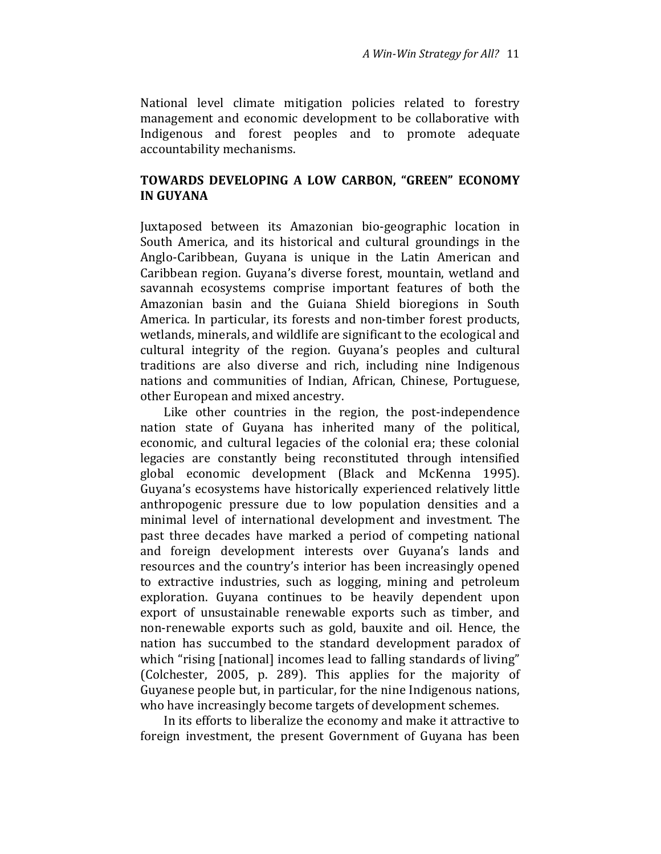National level climate mitigation policies related to forestry management and economic development to be collaborative with Indigenous and forest peoples and to promote adequate accountability mechanisms.

## TOWARDS DEVELOPING A LOW CARBON, "GREEN" ECONOMY IN GUYANA

Juxtaposed between its Amazonian bio-geographic location in South America, and its historical and cultural groundings in the Anglo-Caribbean, Guyana is unique in the Latin American and Caribbean region. Guyana's diverse forest, mountain, wetland and savannah ecosystems comprise important features of both the Amazonian basin and the Guiana Shield bioregions in South America. In particular, its forests and non-timber forest products, wetlands, minerals, and wildlife are significant to the ecological and cultural integrity of the region. Guyana's peoples and cultural traditions are also diverse and rich, including nine Indigenous nations and communities of Indian, African, Chinese, Portuguese, other European and mixed ancestry.

Like other countries in the region, the post-independence nation state of Guyana has inherited many of the political, economic, and cultural legacies of the colonial era; these colonial legacies are constantly being reconstituted through intensified global economic development (Black and McKenna 1995). Guyana's ecosystems have historically experienced relatively little anthropogenic pressure due to low population densities and a minimal level of international development and investment. The past three decades have marked a period of competing national and foreign development interests over Guyana's lands and resources and the country's interior has been increasingly opened to extractive industries, such as logging, mining and petroleum exploration. Guyana continues to be heavily dependent upon export of unsustainable renewable exports such as timber, and non-renewable exports such as gold, bauxite and oil. Hence, the nation has succumbed to the standard development paradox of which "rising [national] incomes lead to falling standards of living" (Colchester, 2005, p. 289). This applies for the majority of Guyanese people but, in particular, for the nine Indigenous nations, who have increasingly become targets of development schemes.

In its efforts to liberalize the economy and make it attractive to foreign investment, the present Government of Guyana has been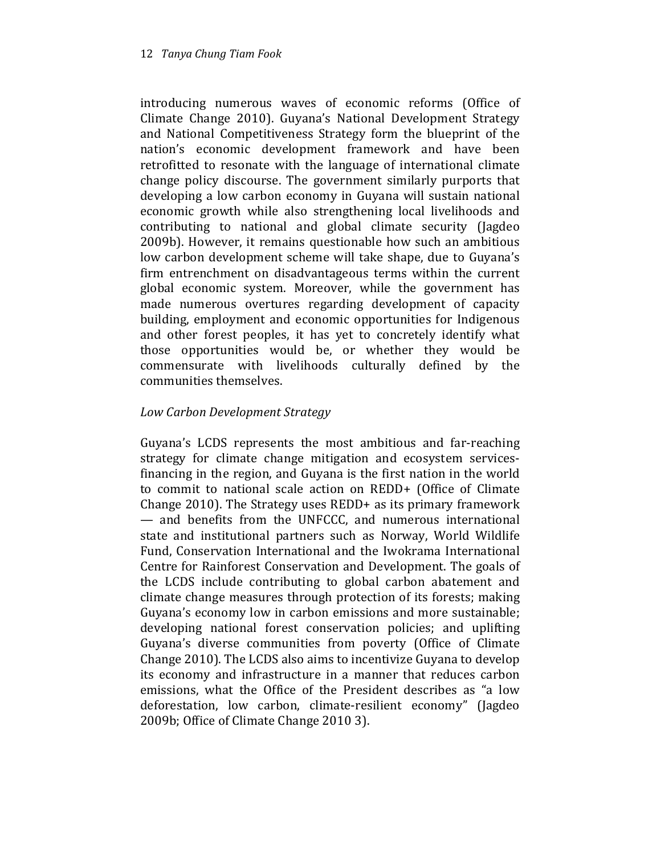introducing numerous waves of economic reforms (Office of Climate Change 2010). Guyana's National Development Strategy and National Competitiveness Strategy form the blueprint of the nation's economic development framework and have been retrofitted to resonate with the language of international climate change policy discourse. The government similarly purports that developing a low carbon economy in Guyana will sustain national economic growth while also strengthening local livelihoods and contributing to national and global climate security (Jagdeo 2009b). However, it remains questionable how such an ambitious low carbon development scheme will take shape, due to Guyana's firm entrenchment on disadvantageous terms within the current global economic system. Moreover, while the government has made numerous overtures regarding development of capacity building, employment and economic opportunities for Indigenous and other forest peoples, it has yet to concretely identify what those opportunities would be, or whether they would be commensurate with livelihoods culturally defined by the communities themselves.

# Low Carbon Development Strategy

Guyana's LCDS represents the most ambitious and far-reaching strategy for climate change mitigation and ecosystem servicesfinancing in the region, and Guyana is the first nation in the world to commit to national scale action on REDD+ (Office of Climate Change 2010). The Strategy uses REDD+ as its primary framework — and benefits from the UNFCCC, and numerous international state and institutional partners such as Norway, World Wildlife Fund, Conservation International and the Iwokrama International Centre for Rainforest Conservation and Development. The goals of the LCDS include contributing to global carbon abatement and climate change measures through protection of its forests; making Guyana's economy low in carbon emissions and more sustainable; developing national forest conservation policies; and uplifting Guyana's diverse communities from poverty (Office of Climate Change 2010). The LCDS also aims to incentivize Guyana to develop its economy and infrastructure in a manner that reduces carbon emissions, what the Office of the President describes as "a low deforestation, low carbon, climate-resilient economy" (Jagdeo 2009b; Office of Climate Change 2010 3).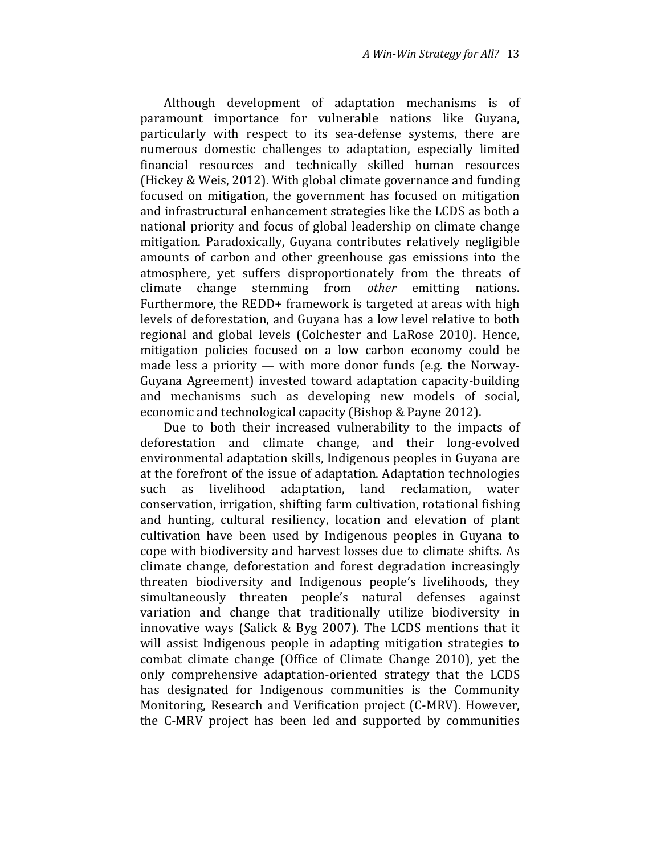Although development of adaptation mechanisms is of paramount importance for vulnerable nations like Guyana, particularly with respect to its sea-defense systems, there are numerous domestic challenges to adaptation, especially limited financial resources and technically skilled human resources (Hickey & Weis, 2012). With global climate governance and funding focused on mitigation, the government has focused on mitigation and infrastructural enhancement strategies like the LCDS as both a national priority and focus of global leadership on climate change mitigation. Paradoxically, Guyana contributes relatively negligible amounts of carbon and other greenhouse gas emissions into the atmosphere, yet suffers disproportionately from the threats of climate change stemming from other emitting nations. Furthermore, the REDD+ framework is targeted at areas with high levels of deforestation, and Guyana has a low level relative to both regional and global levels (Colchester and LaRose 2010). Hence, mitigation policies focused on a low carbon economy could be made less a priority — with more donor funds (e.g. the Norway-Guyana Agreement) invested toward adaptation capacity-building and mechanisms such as developing new models of social, economic and technological capacity (Bishop & Payne 2012).

Due to both their increased vulnerability to the impacts of deforestation and climate change, and their long-evolved environmental adaptation skills, Indigenous peoples in Guyana are at the forefront of the issue of adaptation. Adaptation technologies such as livelihood adaptation, land reclamation, water conservation, irrigation, shifting farm cultivation, rotational fishing and hunting, cultural resiliency, location and elevation of plant cultivation have been used by Indigenous peoples in Guyana to cope with biodiversity and harvest losses due to climate shifts. As climate change, deforestation and forest degradation increasingly threaten biodiversity and Indigenous people's livelihoods, they simultaneously threaten people's natural defenses against variation and change that traditionally utilize biodiversity in innovative ways (Salick & Byg 2007). The LCDS mentions that it will assist Indigenous people in adapting mitigation strategies to combat climate change (Office of Climate Change 2010), yet the only comprehensive adaptation-oriented strategy that the LCDS has designated for Indigenous communities is the Community Monitoring, Research and Verification project (C-MRV). However, the C-MRV project has been led and supported by communities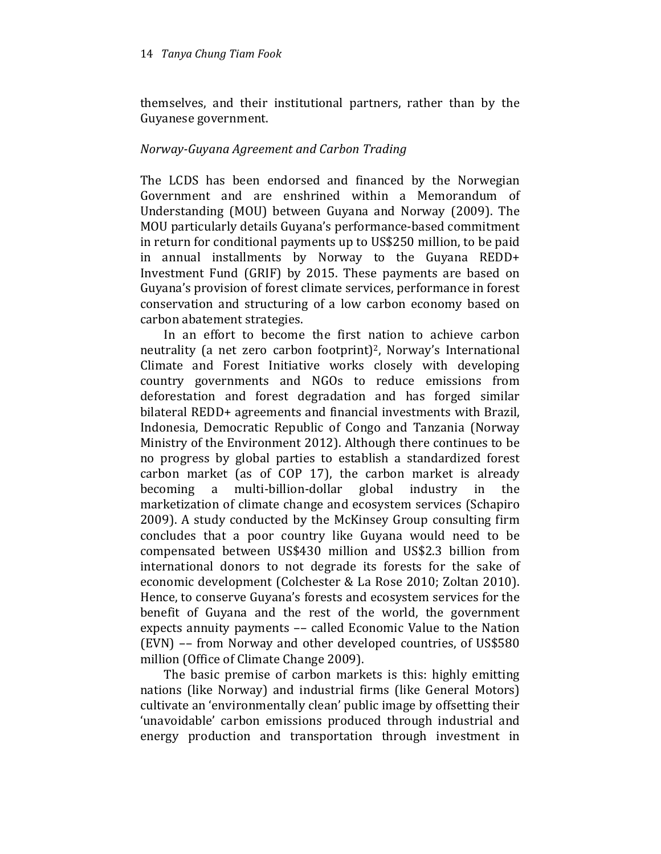themselves, and their institutional partners, rather than by the Guyanese government.

# Norway-Guyana Agreement and Carbon Trading

The LCDS has been endorsed and financed by the Norwegian Government and are enshrined within a Memorandum of Understanding (MOU) between Guyana and Norway (2009). The MOU particularly details Guyana's performance-based commitment in return for conditional payments up to US\$250 million, to be paid in annual installments by Norway to the Guyana REDD+ Investment Fund (GRIF) by 2015. These payments are based on Guyana's provision of forest climate services, performance in forest conservation and structuring of a low carbon economy based on carbon abatement strategies.

In an effort to become the first nation to achieve carbon neutrality (a net zero carbon footprint)2, Norway's International Climate and Forest Initiative works closely with developing country governments and NGOs to reduce emissions from deforestation and forest degradation and has forged similar bilateral REDD+ agreements and financial investments with Brazil, Indonesia, Democratic Republic of Congo and Tanzania (Norway Ministry of the Environment 2012). Although there continues to be no progress by global parties to establish a standardized forest carbon market (as of COP 17), the carbon market is already becoming a multi-billion-dollar global industry in the marketization of climate change and ecosystem services (Schapiro 2009). A study conducted by the McKinsey Group consulting firm concludes that a poor country like Guyana would need to be compensated between US\$430 million and US\$2.3 billion from international donors to not degrade its forests for the sake of economic development (Colchester & La Rose 2010; Zoltan 2010). Hence, to conserve Guyana's forests and ecosystem services for the benefit of Guyana and the rest of the world, the government expects annuity payments –– called Economic Value to the Nation (EVN) –– from Norway and other developed countries, of US\$580 million (Office of Climate Change 2009).

The basic premise of carbon markets is this: highly emitting nations (like Norway) and industrial firms (like General Motors) cultivate an 'environmentally clean' public image by offsetting their 'unavoidable' carbon emissions produced through industrial and energy production and transportation through investment in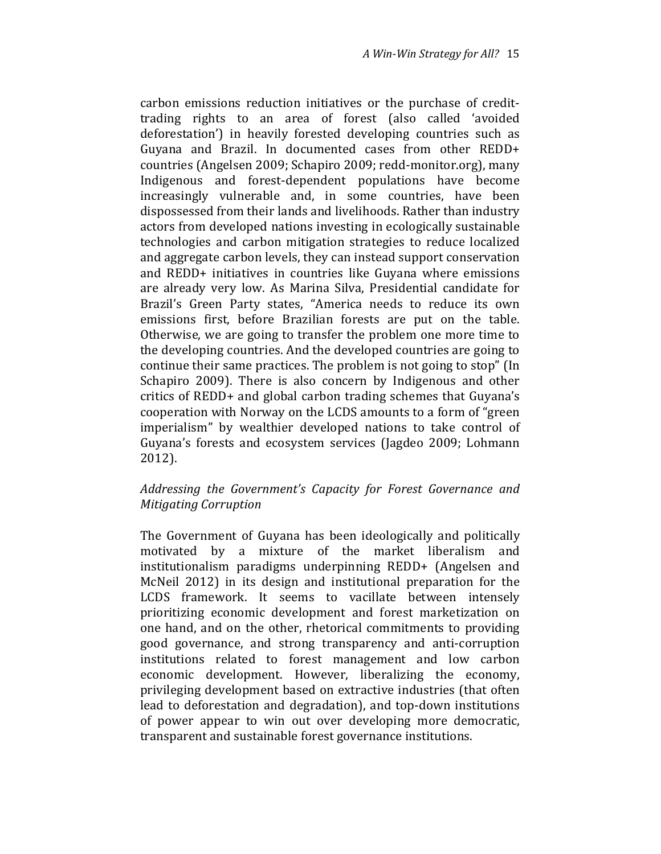carbon emissions reduction initiatives or the purchase of credittrading rights to an area of forest (also called 'avoided deforestation') in heavily forested developing countries such as Guyana and Brazil. In documented cases from other REDD+ countries (Angelsen 2009; Schapiro 2009; redd-monitor.org), many Indigenous and forest-dependent populations have become increasingly vulnerable and, in some countries, have been dispossessed from their lands and livelihoods. Rather than industry actors from developed nations investing in ecologically sustainable technologies and carbon mitigation strategies to reduce localized and aggregate carbon levels, they can instead support conservation and REDD+ initiatives in countries like Guyana where emissions are already very low. As Marina Silva, Presidential candidate for Brazil's Green Party states, "America needs to reduce its own emissions first, before Brazilian forests are put on the table. Otherwise, we are going to transfer the problem one more time to the developing countries. And the developed countries are going to continue their same practices. The problem is not going to stop" (In Schapiro 2009). There is also concern by Indigenous and other critics of REDD+ and global carbon trading schemes that Guyana's cooperation with Norway on the LCDS amounts to a form of "green imperialism" by wealthier developed nations to take control of Guyana's forests and ecosystem services (Jagdeo 2009; Lohmann 2012).

# Addressing the Government's Capacity for Forest Governance and Mitigating Corruption

The Government of Guyana has been ideologically and politically motivated by a mixture of the market liberalism and institutionalism paradigms underpinning REDD+ (Angelsen and McNeil 2012) in its design and institutional preparation for the LCDS framework. It seems to vacillate between intensely prioritizing economic development and forest marketization on one hand, and on the other, rhetorical commitments to providing good governance, and strong transparency and anti-corruption institutions related to forest management and low carbon economic development. However, liberalizing the economy, privileging development based on extractive industries (that often lead to deforestation and degradation), and top-down institutions of power appear to win out over developing more democratic, transparent and sustainable forest governance institutions.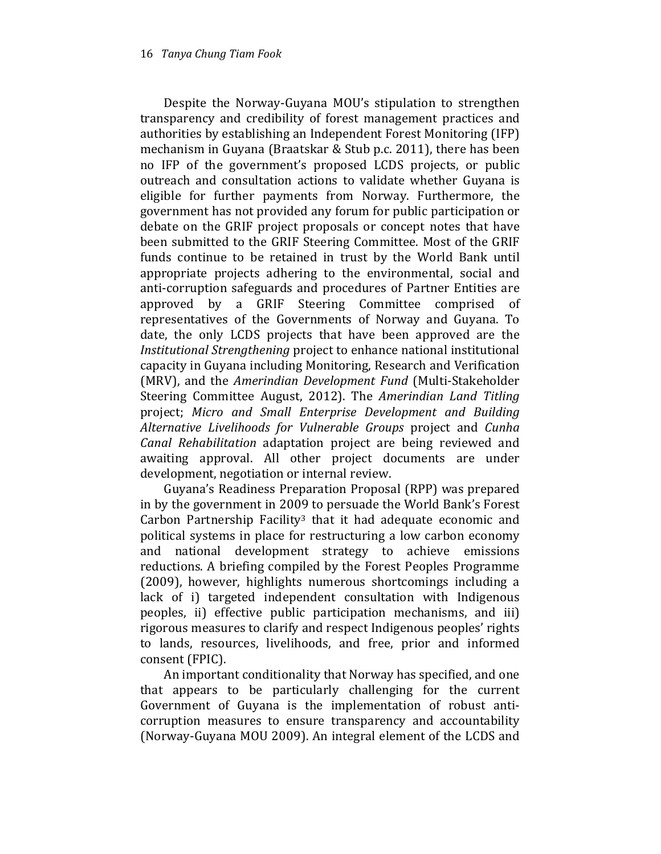Despite the Norway-Guyana MOU's stipulation to strengthen transparency and credibility of forest management practices and authorities by establishing an Independent Forest Monitoring (IFP) mechanism in Guyana (Braatskar & Stub p.c. 2011), there has been no IFP of the government's proposed LCDS projects, or public outreach and consultation actions to validate whether Guyana is eligible for further payments from Norway. Furthermore, the government has not provided any forum for public participation or debate on the GRIF project proposals or concept notes that have been submitted to the GRIF Steering Committee. Most of the GRIF funds continue to be retained in trust by the World Bank until appropriate projects adhering to the environmental, social and anti-corruption safeguards and procedures of Partner Entities are approved by a GRIF Steering Committee comprised of representatives of the Governments of Norway and Guyana. To date, the only LCDS projects that have been approved are the Institutional Strengthening project to enhance national institutional capacity in Guyana including Monitoring, Research and Verification (MRV), and the Amerindian Development Fund (Multi-Stakeholder Steering Committee August, 2012). The Amerindian Land Titling project; Micro and Small Enterprise Development and Building Alternative Livelihoods for Vulnerable Groups project and Cunha Canal Rehabilitation adaptation project are being reviewed and awaiting approval. All other project documents are under development, negotiation or internal review.

Guyana's Readiness Preparation Proposal (RPP) was prepared in by the government in 2009 to persuade the World Bank's Forest Carbon Partnership Facility<sup>3</sup> that it had adequate economic and political systems in place for restructuring a low carbon economy and national development strategy to achieve emissions reductions. A briefing compiled by the Forest Peoples Programme (2009), however, highlights numerous shortcomings including a lack of i) targeted independent consultation with Indigenous peoples, ii) effective public participation mechanisms, and iii) rigorous measures to clarify and respect Indigenous peoples' rights to lands, resources, livelihoods, and free, prior and informed consent (FPIC).

An important conditionality that Norway has specified, and one that appears to be particularly challenging for the current Government of Guyana is the implementation of robust anticorruption measures to ensure transparency and accountability (Norway-Guyana MOU 2009). An integral element of the LCDS and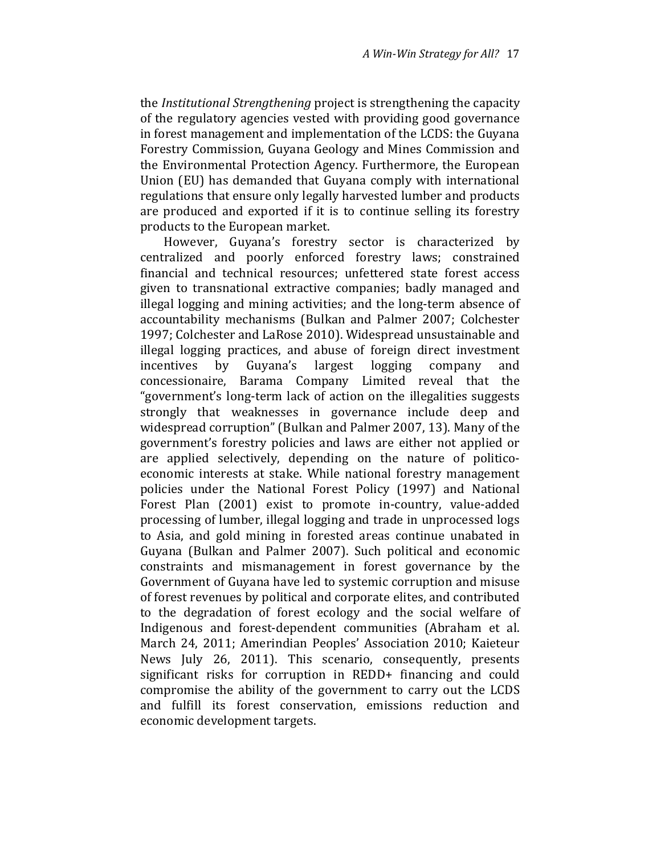the Institutional Strengthening project is strengthening the capacity of the regulatory agencies vested with providing good governance in forest management and implementation of the LCDS: the Guyana Forestry Commission, Guyana Geology and Mines Commission and the Environmental Protection Agency. Furthermore, the European Union (EU) has demanded that Guyana comply with international regulations that ensure only legally harvested lumber and products are produced and exported if it is to continue selling its forestry products to the European market.

However, Guyana's forestry sector is characterized by centralized and poorly enforced forestry laws; constrained financial and technical resources; unfettered state forest access given to transnational extractive companies; badly managed and illegal logging and mining activities; and the long-term absence of accountability mechanisms (Bulkan and Palmer 2007; Colchester 1997; Colchester and LaRose 2010). Widespread unsustainable and illegal logging practices, and abuse of foreign direct investment incentives by Guyana's largest logging company and concessionaire, Barama Company Limited reveal that the "government's long-term lack of action on the illegalities suggests strongly that weaknesses in governance include deep and widespread corruption" (Bulkan and Palmer 2007, 13). Many of the government's forestry policies and laws are either not applied or are applied selectively, depending on the nature of politicoeconomic interests at stake. While national forestry management policies under the National Forest Policy (1997) and National Forest Plan (2001) exist to promote in-country, value-added processing of lumber, illegal logging and trade in unprocessed logs to Asia, and gold mining in forested areas continue unabated in Guyana (Bulkan and Palmer 2007). Such political and economic constraints and mismanagement in forest governance by the Government of Guyana have led to systemic corruption and misuse of forest revenues by political and corporate elites, and contributed to the degradation of forest ecology and the social welfare of Indigenous and forest-dependent communities (Abraham et al. March 24, 2011; Amerindian Peoples' Association 2010; Kaieteur News July 26, 2011). This scenario, consequently, presents significant risks for corruption in REDD+ financing and could compromise the ability of the government to carry out the LCDS and fulfill its forest conservation, emissions reduction and economic development targets.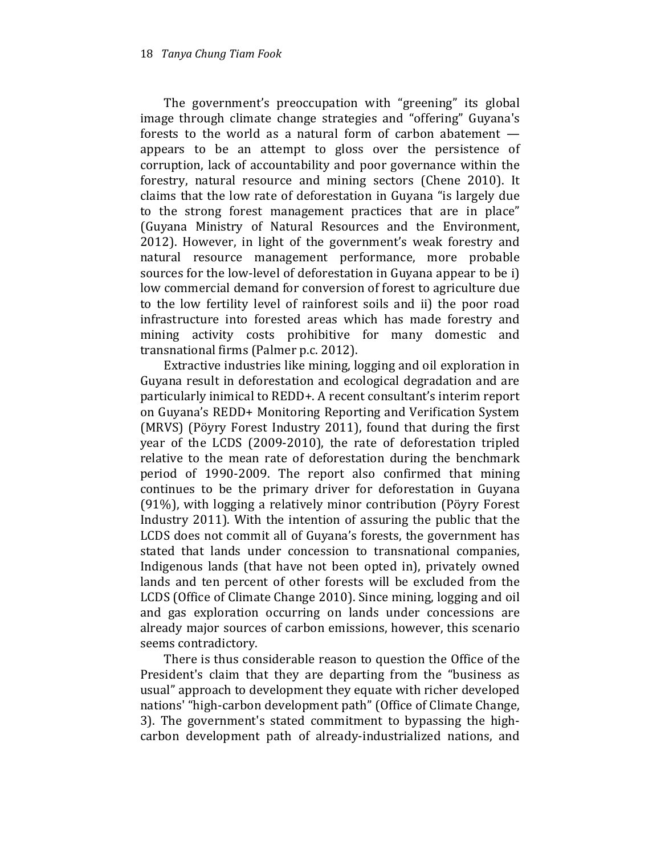The government's preoccupation with "greening" its global image through climate change strategies and "offering" Guyana's forests to the world as a natural form of carbon abatement appears to be an attempt to gloss over the persistence of corruption, lack of accountability and poor governance within the forestry, natural resource and mining sectors (Chene 2010). It claims that the low rate of deforestation in Guyana "is largely due to the strong forest management practices that are in place" (Guyana Ministry of Natural Resources and the Environment, 2012). However, in light of the government's weak forestry and natural resource management performance, more probable sources for the low-level of deforestation in Guyana appear to be i) low commercial demand for conversion of forest to agriculture due to the low fertility level of rainforest soils and ii) the poor road infrastructure into forested areas which has made forestry and mining activity costs prohibitive for many domestic and transnational firms (Palmer p.c. 2012).

Extractive industries like mining, logging and oil exploration in Guyana result in deforestation and ecological degradation and are particularly inimical to REDD+. A recent consultant's interim report on Guyana's REDD+ Monitoring Reporting and Verification System (MRVS) (Pöyry Forest Industry 2011), found that during the first year of the LCDS (2009-2010), the rate of deforestation tripled relative to the mean rate of deforestation during the benchmark period of 1990-2009. The report also confirmed that mining continues to be the primary driver for deforestation in Guyana (91%), with logging a relatively minor contribution (Pöyry Forest Industry 2011). With the intention of assuring the public that the LCDS does not commit all of Guyana's forests, the government has stated that lands under concession to transnational companies, Indigenous lands (that have not been opted in), privately owned lands and ten percent of other forests will be excluded from the LCDS (Office of Climate Change 2010). Since mining, logging and oil and gas exploration occurring on lands under concessions are already major sources of carbon emissions, however, this scenario seems contradictory.

There is thus considerable reason to question the Office of the President's claim that they are departing from the "business as usual" approach to development they equate with richer developed nations' "high-carbon development path" (Office of Climate Change, 3). The government's stated commitment to bypassing the highcarbon development path of already-industrialized nations, and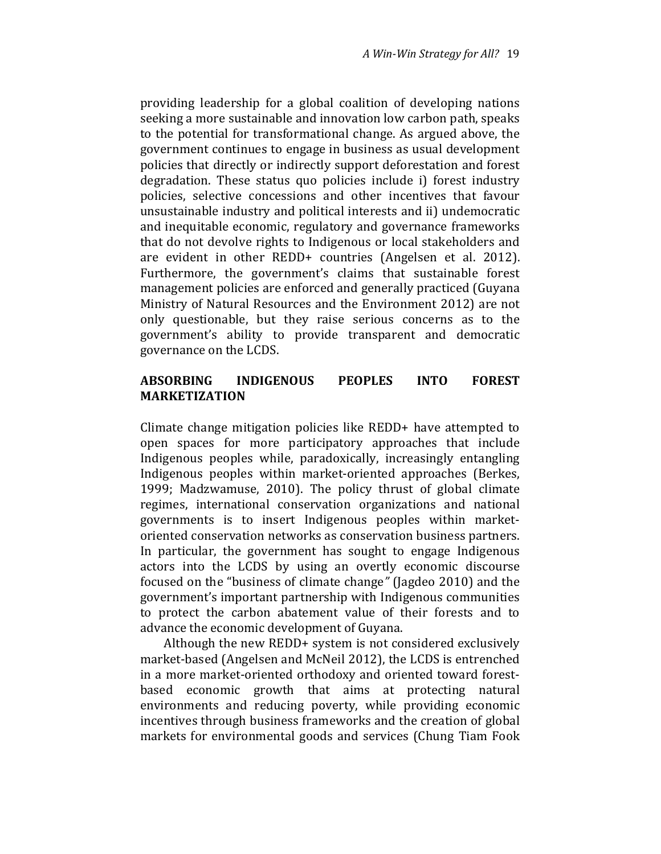providing leadership for a global coalition of developing nations seeking a more sustainable and innovation low carbon path, speaks to the potential for transformational change. As argued above, the government continues to engage in business as usual development policies that directly or indirectly support deforestation and forest degradation. These status quo policies include i) forest industry policies, selective concessions and other incentives that favour unsustainable industry and political interests and ii) undemocratic and inequitable economic, regulatory and governance frameworks that do not devolve rights to Indigenous or local stakeholders and are evident in other REDD+ countries (Angelsen et al. 2012). Furthermore, the government's claims that sustainable forest management policies are enforced and generally practiced (Guyana Ministry of Natural Resources and the Environment 2012) are not only questionable, but they raise serious concerns as to the government's ability to provide transparent and democratic governance on the LCDS.

# ABSORBING INDIGENOUS PEOPLES INTO FOREST MARKETIZATION

Climate change mitigation policies like REDD+ have attempted to open spaces for more participatory approaches that include Indigenous peoples while, paradoxically, increasingly entangling Indigenous peoples within market-oriented approaches (Berkes, 1999; Madzwamuse, 2010). The policy thrust of global climate regimes, international conservation organizations and national governments is to insert Indigenous peoples within marketoriented conservation networks as conservation business partners. In particular, the government has sought to engage Indigenous actors into the LCDS by using an overtly economic discourse focused on the "business of climate change" (Jagdeo 2010) and the government's important partnership with Indigenous communities to protect the carbon abatement value of their forests and to advance the economic development of Guyana.

Although the new REDD+ system is not considered exclusively market-based (Angelsen and McNeil 2012), the LCDS is entrenched in a more market-oriented orthodoxy and oriented toward forestbased economic growth that aims at protecting natural environments and reducing poverty, while providing economic incentives through business frameworks and the creation of global markets for environmental goods and services (Chung Tiam Fook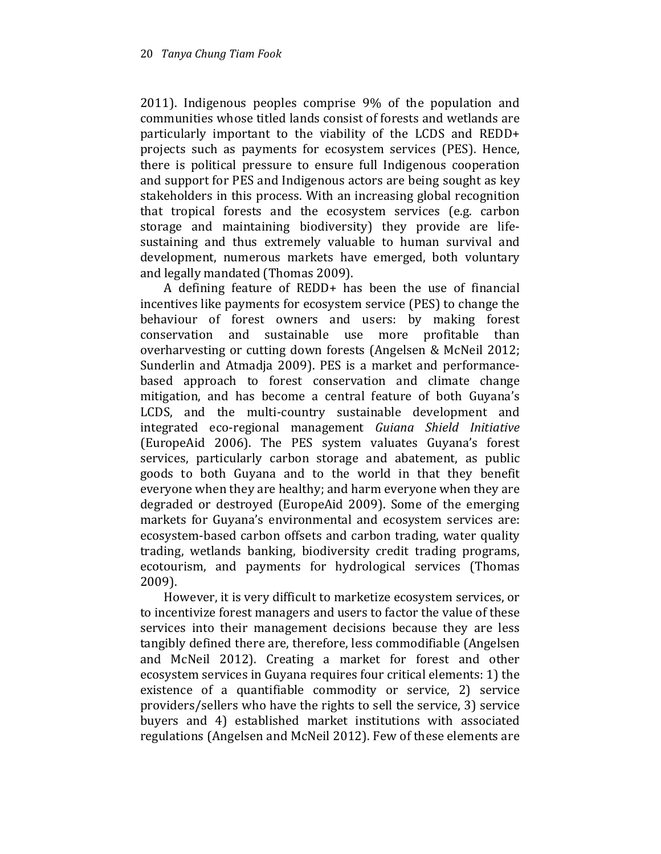2011). Indigenous peoples comprise 9% of the population and communities whose titled lands consist of forests and wetlands are particularly important to the viability of the LCDS and REDD+ projects such as payments for ecosystem services (PES). Hence, there is political pressure to ensure full Indigenous cooperation and support for PES and Indigenous actors are being sought as key stakeholders in this process. With an increasing global recognition that tropical forests and the ecosystem services (e.g. carbon storage and maintaining biodiversity) they provide are lifesustaining and thus extremely valuable to human survival and development, numerous markets have emerged, both voluntary and legally mandated (Thomas 2009).

A defining feature of REDD+ has been the use of financial incentives like payments for ecosystem service (PES) to change the behaviour of forest owners and users: by making forest conservation and sustainable use more profitable than overharvesting or cutting down forests (Angelsen & McNeil 2012; Sunderlin and Atmadja 2009). PES is a market and performancebased approach to forest conservation and climate change mitigation, and has become a central feature of both Guyana's LCDS, and the multi-country sustainable development and integrated eco-regional management Guiana Shield Initiative (EuropeAid 2006). The PES system valuates Guyana's forest services, particularly carbon storage and abatement, as public goods to both Guyana and to the world in that they benefit everyone when they are healthy; and harm everyone when they are degraded or destroyed (EuropeAid 2009). Some of the emerging markets for Guyana's environmental and ecosystem services are: ecosystem-based carbon offsets and carbon trading, water quality trading, wetlands banking, biodiversity credit trading programs, ecotourism, and payments for hydrological services (Thomas 2009).

However, it is very difficult to marketize ecosystem services, or to incentivize forest managers and users to factor the value of these services into their management decisions because they are less tangibly defined there are, therefore, less commodifiable (Angelsen and McNeil 2012). Creating a market for forest and other ecosystem services in Guyana requires four critical elements: 1) the existence of a quantifiable commodity or service, 2) service providers/sellers who have the rights to sell the service, 3) service buyers and 4) established market institutions with associated regulations (Angelsen and McNeil 2012). Few of these elements are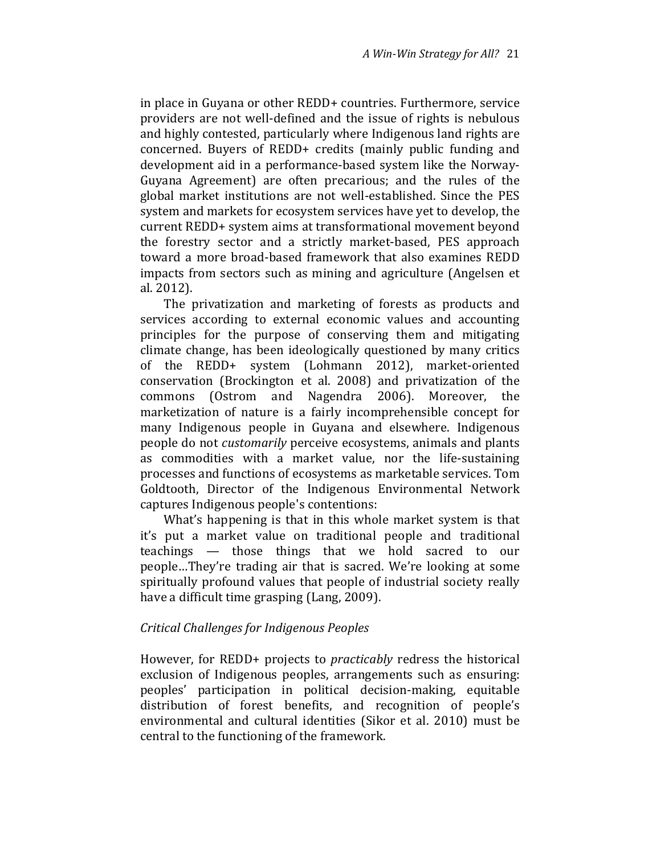in place in Guyana or other REDD+ countries. Furthermore, service providers are not well-defined and the issue of rights is nebulous and highly contested, particularly where Indigenous land rights are concerned. Buyers of REDD+ credits (mainly public funding and development aid in a performance-based system like the Norway-Guyana Agreement) are often precarious; and the rules of the global market institutions are not well-established. Since the PES system and markets for ecosystem services have yet to develop, the current REDD+ system aims at transformational movement beyond the forestry sector and a strictly market-based, PES approach toward a more broad-based framework that also examines REDD impacts from sectors such as mining and agriculture (Angelsen et al. 2012).

The privatization and marketing of forests as products and services according to external economic values and accounting principles for the purpose of conserving them and mitigating climate change, has been ideologically questioned by many critics of the REDD+ system (Lohmann 2012), market-oriented conservation (Brockington et al. 2008) and privatization of the commons (Ostrom and Nagendra 2006). Moreover, the marketization of nature is a fairly incomprehensible concept for many Indigenous people in Guyana and elsewhere. Indigenous people do not customarily perceive ecosystems, animals and plants as commodities with a market value, nor the life-sustaining processes and functions of ecosystems as marketable services. Tom Goldtooth, Director of the Indigenous Environmental Network captures Indigenous people's contentions:

What's happening is that in this whole market system is that it's put a market value on traditional people and traditional teachings — those things that we hold sacred to our people…They're trading air that is sacred. We're looking at some spiritually profound values that people of industrial society really have a difficult time grasping (Lang, 2009).

#### Critical Challenges for Indigenous Peoples

However, for REDD+ projects to practicably redress the historical exclusion of Indigenous peoples, arrangements such as ensuring: peoples' participation in political decision-making, equitable distribution of forest benefits, and recognition of people's environmental and cultural identities (Sikor et al. 2010) must be central to the functioning of the framework.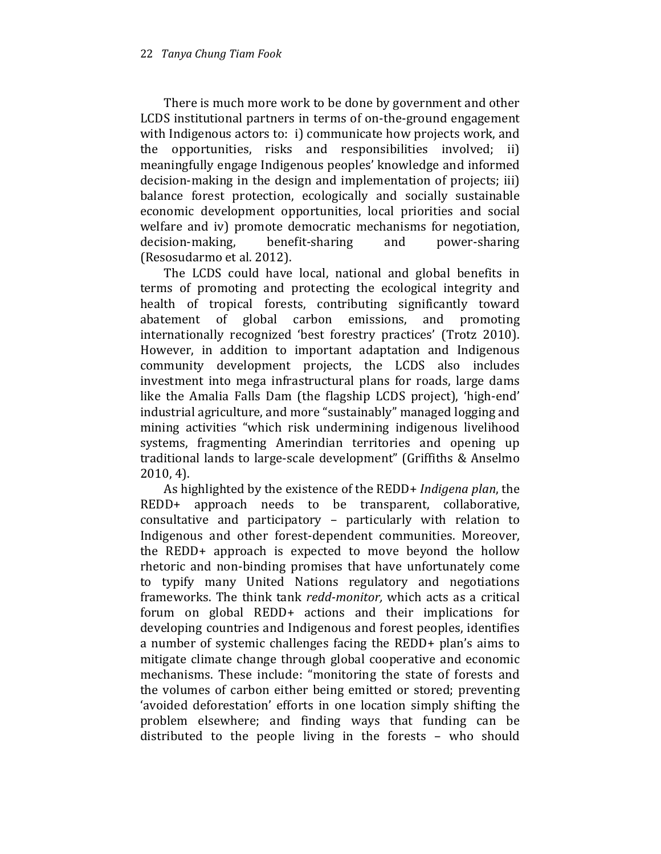There is much more work to be done by government and other LCDS institutional partners in terms of on-the-ground engagement with Indigenous actors to: i) communicate how projects work, and the opportunities, risks and responsibilities involved; ii) meaningfully engage Indigenous peoples' knowledge and informed decision-making in the design and implementation of projects; iii) balance forest protection, ecologically and socially sustainable economic development opportunities, local priorities and social welfare and iv) promote democratic mechanisms for negotiation, decision-making, benefit-sharing and power-sharing (Resosudarmo et al. 2012).

The LCDS could have local, national and global benefits in terms of promoting and protecting the ecological integrity and health of tropical forests, contributing significantly toward abatement of global carbon emissions, and promoting internationally recognized 'best forestry practices' (Trotz 2010). However, in addition to important adaptation and Indigenous community development projects, the LCDS also includes investment into mega infrastructural plans for roads, large dams like the Amalia Falls Dam (the flagship LCDS project), 'high-end' industrial agriculture, and more "sustainably" managed logging and mining activities "which risk undermining indigenous livelihood systems, fragmenting Amerindian territories and opening up traditional lands to large-scale development" (Griffiths & Anselmo 2010, 4).

As highlighted by the existence of the REDD+ Indigena plan, the REDD+ approach needs to be transparent, collaborative, consultative and participatory – particularly with relation to Indigenous and other forest-dependent communities. Moreover, the REDD+ approach is expected to move beyond the hollow rhetoric and non-binding promises that have unfortunately come to typify many United Nations regulatory and negotiations frameworks. The think tank redd-monitor, which acts as a critical forum on global REDD+ actions and their implications for developing countries and Indigenous and forest peoples, identifies a number of systemic challenges facing the REDD+ plan's aims to mitigate climate change through global cooperative and economic mechanisms. These include: "monitoring the state of forests and the volumes of carbon either being emitted or stored; preventing 'avoided deforestation' efforts in one location simply shifting the problem elsewhere; and finding ways that funding can be distributed to the people living in the forests – who should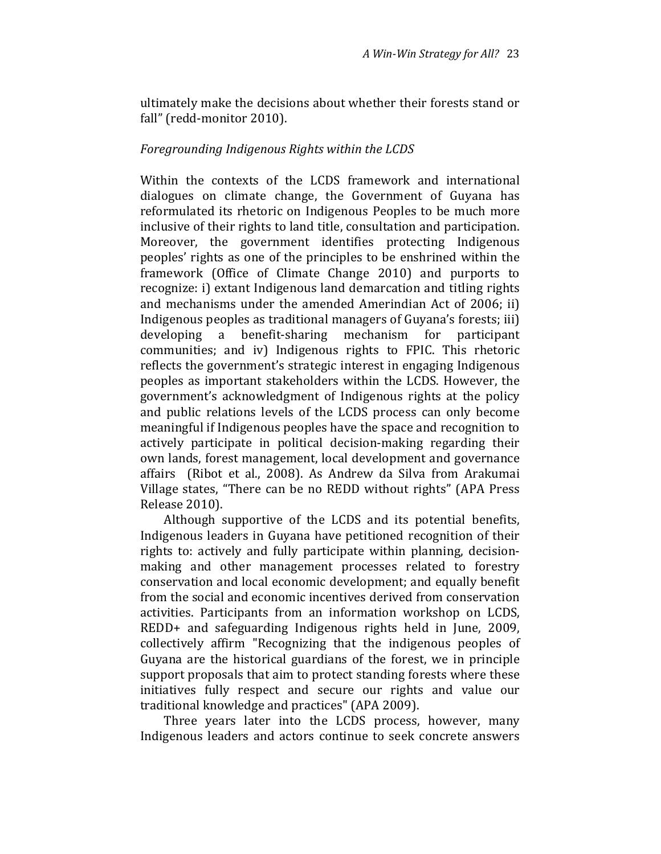ultimately make the decisions about whether their forests stand or fall" (redd-monitor 2010).

#### Foregrounding Indigenous Rights within the LCDS

Within the contexts of the LCDS framework and international dialogues on climate change, the Government of Guyana has reformulated its rhetoric on Indigenous Peoples to be much more inclusive of their rights to land title, consultation and participation. Moreover, the government identifies protecting Indigenous peoples' rights as one of the principles to be enshrined within the framework (Office of Climate Change 2010) and purports to recognize: i) extant Indigenous land demarcation and titling rights and mechanisms under the amended Amerindian Act of 2006; ii) Indigenous peoples as traditional managers of Guyana's forests; iii) developing a benefit-sharing mechanism for participant communities; and iv) Indigenous rights to FPIC. This rhetoric reflects the government's strategic interest in engaging Indigenous peoples as important stakeholders within the LCDS. However, the government's acknowledgment of Indigenous rights at the policy and public relations levels of the LCDS process can only become meaningful if Indigenous peoples have the space and recognition to actively participate in political decision-making regarding their own lands, forest management, local development and governance affairs (Ribot et al., 2008). As Andrew da Silva from Arakumai Village states, "There can be no REDD without rights" (APA Press Release 2010).

Although supportive of the LCDS and its potential benefits, Indigenous leaders in Guyana have petitioned recognition of their rights to: actively and fully participate within planning, decisionmaking and other management processes related to forestry conservation and local economic development; and equally benefit from the social and economic incentives derived from conservation activities. Participants from an information workshop on LCDS, REDD+ and safeguarding Indigenous rights held in June, 2009, collectively affirm "Recognizing that the indigenous peoples of Guyana are the historical guardians of the forest, we in principle support proposals that aim to protect standing forests where these initiatives fully respect and secure our rights and value our traditional knowledge and practices" (APA 2009).

Three years later into the LCDS process, however, many Indigenous leaders and actors continue to seek concrete answers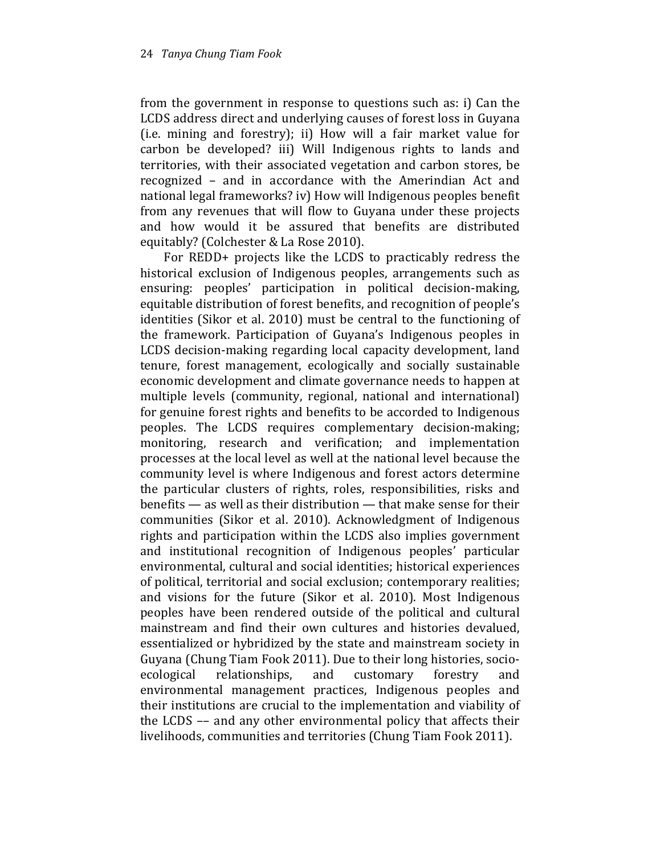from the government in response to questions such as: i) Can the LCDS address direct and underlying causes of forest loss in Guyana (i.e. mining and forestry); ii) How will a fair market value for carbon be developed? iii) Will Indigenous rights to lands and territories, with their associated vegetation and carbon stores, be recognized – and in accordance with the Amerindian Act and national legal frameworks? iv) How will Indigenous peoples benefit from any revenues that will flow to Guyana under these projects and how would it be assured that benefits are distributed equitably? (Colchester & La Rose 2010).

For REDD+ projects like the LCDS to practicably redress the historical exclusion of Indigenous peoples, arrangements such as ensuring: peoples' participation in political decision-making, equitable distribution of forest benefits, and recognition of people's identities (Sikor et al. 2010) must be central to the functioning of the framework. Participation of Guyana's Indigenous peoples in LCDS decision-making regarding local capacity development, land tenure, forest management, ecologically and socially sustainable economic development and climate governance needs to happen at multiple levels (community, regional, national and international) for genuine forest rights and benefits to be accorded to Indigenous peoples. The LCDS requires complementary decision-making; monitoring, research and verification; and implementation processes at the local level as well at the national level because the community level is where Indigenous and forest actors determine the particular clusters of rights, roles, responsibilities, risks and benefits — as well as their distribution — that make sense for their communities (Sikor et al. 2010). Acknowledgment of Indigenous rights and participation within the LCDS also implies government and institutional recognition of Indigenous peoples' particular environmental, cultural and social identities; historical experiences of political, territorial and social exclusion; contemporary realities; and visions for the future (Sikor et al. 2010). Most Indigenous peoples have been rendered outside of the political and cultural mainstream and find their own cultures and histories devalued, essentialized or hybridized by the state and mainstream society in Guyana (Chung Tiam Fook 2011). Due to their long histories, socioecological relationships, and customary forestry and environmental management practices, Indigenous peoples and their institutions are crucial to the implementation and viability of the LCDS –– and any other environmental policy that affects their livelihoods, communities and territories (Chung Tiam Fook 2011).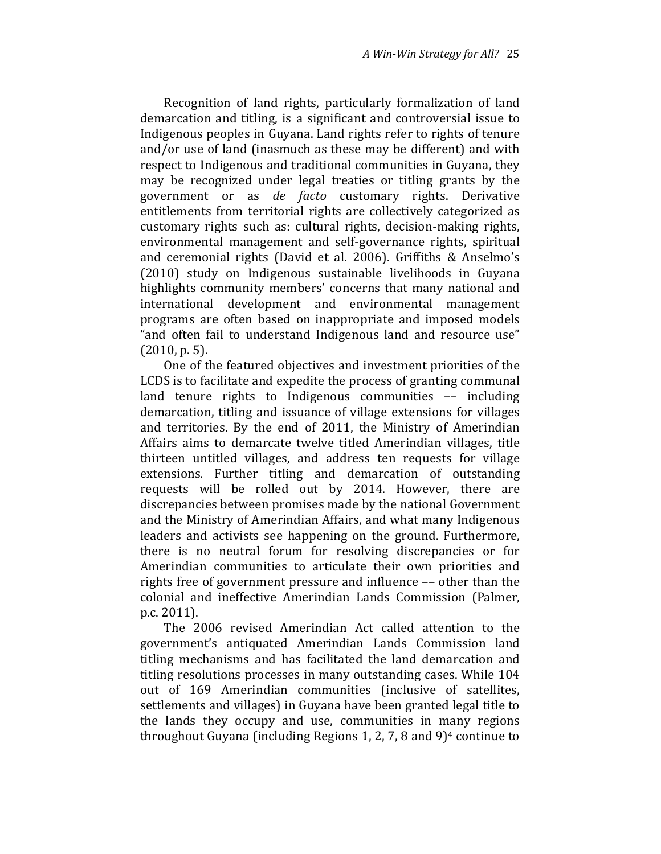Recognition of land rights, particularly formalization of land demarcation and titling, is a significant and controversial issue to Indigenous peoples in Guyana. Land rights refer to rights of tenure and/or use of land (inasmuch as these may be different) and with respect to Indigenous and traditional communities in Guyana, they may be recognized under legal treaties or titling grants by the government or as de facto customary rights. Derivative entitlements from territorial rights are collectively categorized as customary rights such as: cultural rights, decision-making rights, environmental management and self-governance rights, spiritual and ceremonial rights (David et al. 2006). Griffiths & Anselmo's (2010) study on Indigenous sustainable livelihoods in Guyana highlights community members' concerns that many national and international development and environmental management programs are often based on inappropriate and imposed models "and often fail to understand Indigenous land and resource use" (2010, p. 5).

One of the featured objectives and investment priorities of the LCDS is to facilitate and expedite the process of granting communal land tenure rights to Indigenous communities –– including demarcation, titling and issuance of village extensions for villages and territories. By the end of 2011, the Ministry of Amerindian Affairs aims to demarcate twelve titled Amerindian villages, title thirteen untitled villages, and address ten requests for village extensions. Further titling and demarcation of outstanding requests will be rolled out by 2014. However, there are discrepancies between promises made by the national Government and the Ministry of Amerindian Affairs, and what many Indigenous leaders and activists see happening on the ground. Furthermore, there is no neutral forum for resolving discrepancies or for Amerindian communities to articulate their own priorities and rights free of government pressure and influence –– other than the colonial and ineffective Amerindian Lands Commission (Palmer, p.c. 2011).

The 2006 revised Amerindian Act called attention to the government's antiquated Amerindian Lands Commission land titling mechanisms and has facilitated the land demarcation and titling resolutions processes in many outstanding cases. While 104 out of 169 Amerindian communities (inclusive of satellites, settlements and villages) in Guyana have been granted legal title to the lands they occupy and use, communities in many regions throughout Guyana (including Regions 1, 2, 7, 8 and  $9$ )<sup>4</sup> continue to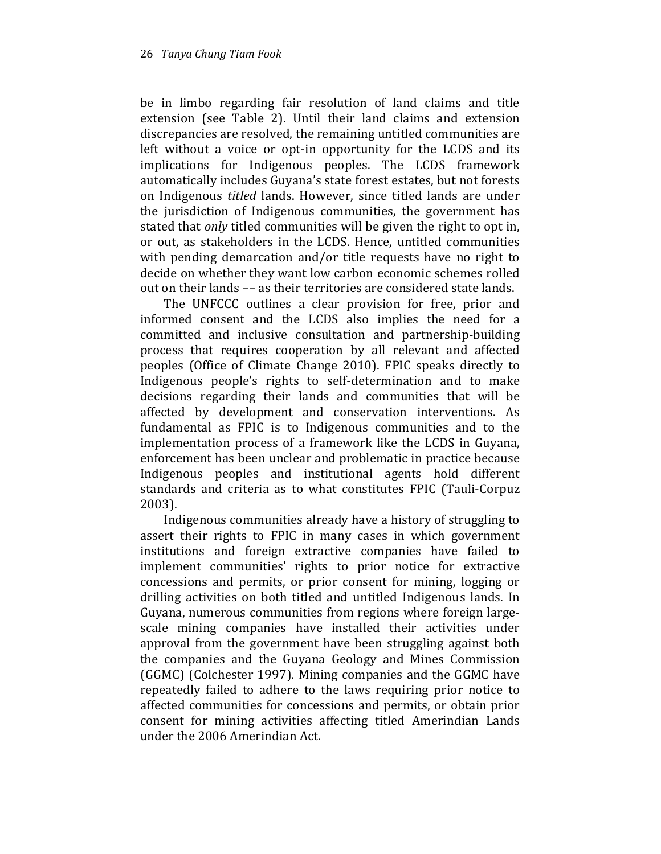be in limbo regarding fair resolution of land claims and title extension (see Table 2). Until their land claims and extension discrepancies are resolved, the remaining untitled communities are left without a voice or opt-in opportunity for the LCDS and its implications for Indigenous peoples. The LCDS framework automatically includes Guyana's state forest estates, but not forests on Indigenous titled lands. However, since titled lands are under the jurisdiction of Indigenous communities, the government has stated that *only* titled communities will be given the right to opt in, or out, as stakeholders in the LCDS. Hence, untitled communities with pending demarcation and/or title requests have no right to decide on whether they want low carbon economic schemes rolled out on their lands –– as their territories are considered state lands.

The UNFCCC outlines a clear provision for free, prior and informed consent and the LCDS also implies the need for a committed and inclusive consultation and partnership-building process that requires cooperation by all relevant and affected peoples (Office of Climate Change 2010). FPIC speaks directly to Indigenous people's rights to self-determination and to make decisions regarding their lands and communities that will be affected by development and conservation interventions. As fundamental as FPIC is to Indigenous communities and to the implementation process of a framework like the LCDS in Guyana, enforcement has been unclear and problematic in practice because Indigenous peoples and institutional agents hold different standards and criteria as to what constitutes FPIC (Tauli-Corpuz 2003).

Indigenous communities already have a history of struggling to assert their rights to FPIC in many cases in which government institutions and foreign extractive companies have failed to implement communities' rights to prior notice for extractive concessions and permits, or prior consent for mining, logging or drilling activities on both titled and untitled Indigenous lands. In Guyana, numerous communities from regions where foreign largescale mining companies have installed their activities under approval from the government have been struggling against both the companies and the Guyana Geology and Mines Commission (GGMC) (Colchester 1997). Mining companies and the GGMC have repeatedly failed to adhere to the laws requiring prior notice to affected communities for concessions and permits, or obtain prior consent for mining activities affecting titled Amerindian Lands under the 2006 Amerindian Act.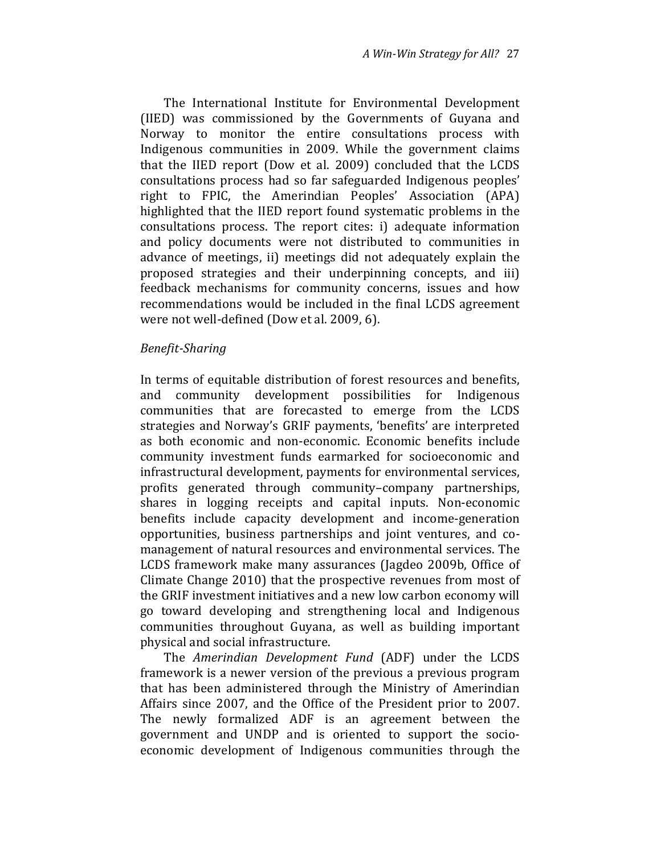The International Institute for Environmental Development (IIED) was commissioned by the Governments of Guyana and Norway to monitor the entire consultations process with Indigenous communities in 2009. While the government claims that the IIED report (Dow et al. 2009) concluded that the LCDS consultations process had so far safeguarded Indigenous peoples' right to FPIC, the Amerindian Peoples' Association (APA) highlighted that the IIED report found systematic problems in the consultations process. The report cites: i) adequate information and policy documents were not distributed to communities in advance of meetings, ii) meetings did not adequately explain the proposed strategies and their underpinning concepts, and iii) feedback mechanisms for community concerns, issues and how recommendations would be included in the final LCDS agreement were not well-defined (Dow et al. 2009, 6).

#### Benefit-Sharing

In terms of equitable distribution of forest resources and benefits, and community development possibilities for Indigenous communities that are forecasted to emerge from the LCDS strategies and Norway's GRIF payments, 'benefits' are interpreted as both economic and non-economic. Economic benefits include community investment funds earmarked for socioeconomic and infrastructural development, payments for environmental services, profits generated through community–company partnerships, shares in logging receipts and capital inputs. Non-economic benefits include capacity development and income-generation opportunities, business partnerships and joint ventures, and comanagement of natural resources and environmental services. The LCDS framework make many assurances (Jagdeo 2009b, Office of Climate Change 2010) that the prospective revenues from most of the GRIF investment initiatives and a new low carbon economy will go toward developing and strengthening local and Indigenous communities throughout Guyana, as well as building important physical and social infrastructure.

The Amerindian Development Fund (ADF) under the LCDS framework is a newer version of the previous a previous program that has been administered through the Ministry of Amerindian Affairs since 2007, and the Office of the President prior to 2007. The newly formalized ADF is an agreement between the government and UNDP and is oriented to support the socioeconomic development of Indigenous communities through the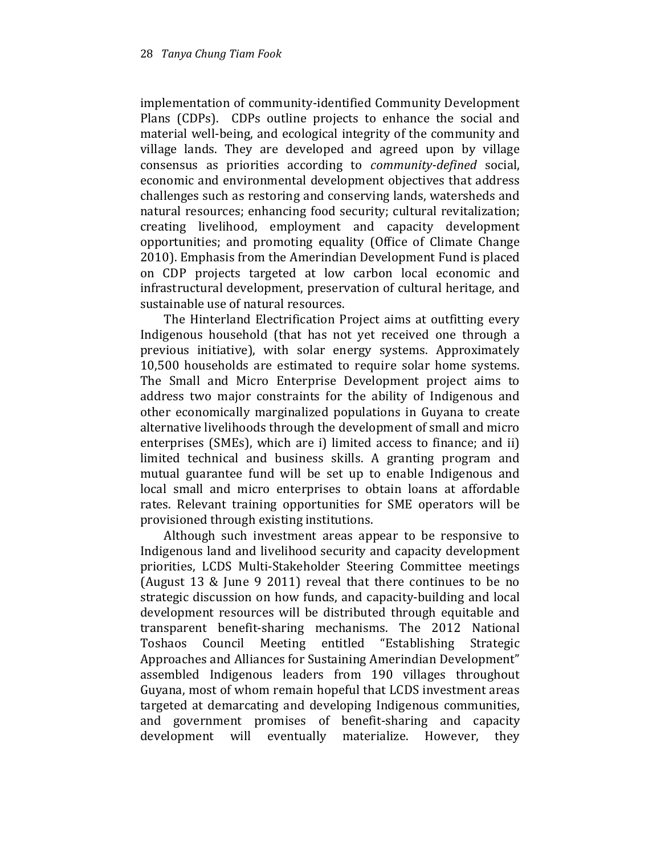implementation of community-identified Community Development Plans (CDPs). CDPs outline projects to enhance the social and material well-being, and ecological integrity of the community and village lands. They are developed and agreed upon by village consensus as priorities according to community-defined social, economic and environmental development objectives that address challenges such as restoring and conserving lands, watersheds and natural resources; enhancing food security; cultural revitalization; creating livelihood, employment and capacity development opportunities; and promoting equality (Office of Climate Change 2010). Emphasis from the Amerindian Development Fund is placed on CDP projects targeted at low carbon local economic and infrastructural development, preservation of cultural heritage, and sustainable use of natural resources.

The Hinterland Electrification Project aims at outfitting every Indigenous household (that has not yet received one through a previous initiative), with solar energy systems. Approximately 10,500 households are estimated to require solar home systems. The Small and Micro Enterprise Development project aims to address two major constraints for the ability of Indigenous and other economically marginalized populations in Guyana to create alternative livelihoods through the development of small and micro enterprises (SMEs), which are i) limited access to finance; and ii) limited technical and business skills. A granting program and mutual guarantee fund will be set up to enable Indigenous and local small and micro enterprises to obtain loans at affordable rates. Relevant training opportunities for SME operators will be provisioned through existing institutions.

Although such investment areas appear to be responsive to Indigenous land and livelihood security and capacity development priorities, LCDS Multi-Stakeholder Steering Committee meetings (August 13 & June 9 2011) reveal that there continues to be no strategic discussion on how funds, and capacity-building and local development resources will be distributed through equitable and transparent benefit-sharing mechanisms. The 2012 National Toshaos Council Meeting entitled "Establishing Strategic Approaches and Alliances for Sustaining Amerindian Development" assembled Indigenous leaders from 190 villages throughout Guyana, most of whom remain hopeful that LCDS investment areas targeted at demarcating and developing Indigenous communities, and government promises of benefit-sharing and capacity development will eventually materialize. However, they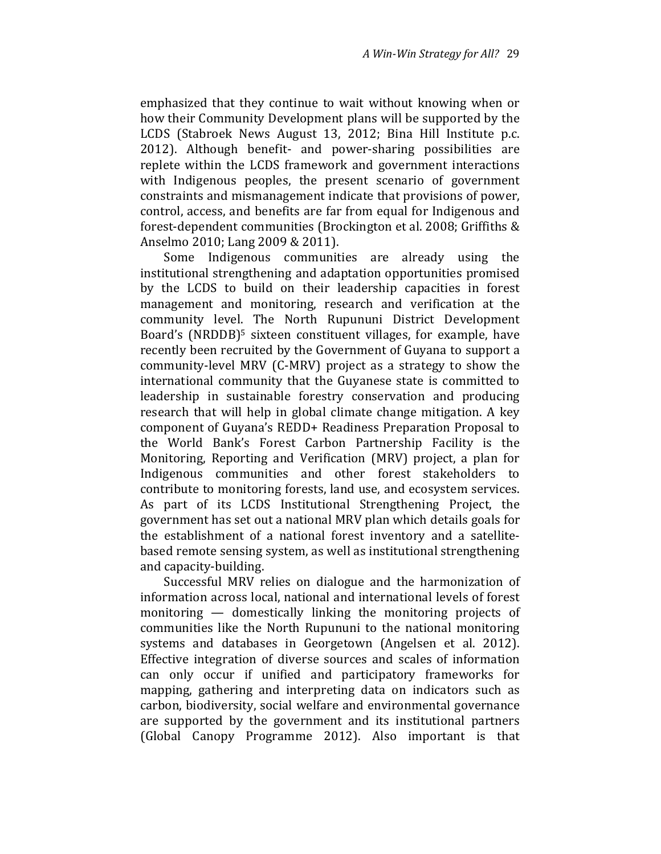emphasized that they continue to wait without knowing when or how their Community Development plans will be supported by the LCDS (Stabroek News August 13, 2012; Bina Hill Institute p.c. 2012). Although benefit- and power-sharing possibilities are replete within the LCDS framework and government interactions with Indigenous peoples, the present scenario of government constraints and mismanagement indicate that provisions of power, control, access, and benefits are far from equal for Indigenous and forest-dependent communities (Brockington et al. 2008; Griffiths & Anselmo 2010; Lang 2009 & 2011).

Some Indigenous communities are already using the institutional strengthening and adaptation opportunities promised by the LCDS to build on their leadership capacities in forest management and monitoring, research and verification at the community level. The North Rupununi District Development Board's (NRDDB)<sup>5</sup> sixteen constituent villages, for example, have recently been recruited by the Government of Guyana to support a community-level MRV (C-MRV) project as a strategy to show the international community that the Guyanese state is committed to leadership in sustainable forestry conservation and producing research that will help in global climate change mitigation. A key component of Guyana's REDD+ Readiness Preparation Proposal to the World Bank's Forest Carbon Partnership Facility is the Monitoring, Reporting and Verification (MRV) project, a plan for Indigenous communities and other forest stakeholders to contribute to monitoring forests, land use, and ecosystem services. As part of its LCDS Institutional Strengthening Project, the government has set out a national MRV plan which details goals for the establishment of a national forest inventory and a satellitebased remote sensing system, as well as institutional strengthening and capacity-building.

Successful MRV relies on dialogue and the harmonization of information across local, national and international levels of forest monitoring — domestically linking the monitoring projects of communities like the North Rupununi to the national monitoring systems and databases in Georgetown (Angelsen et al. 2012). Effective integration of diverse sources and scales of information can only occur if unified and participatory frameworks for mapping, gathering and interpreting data on indicators such as carbon, biodiversity, social welfare and environmental governance are supported by the government and its institutional partners (Global Canopy Programme 2012). Also important is that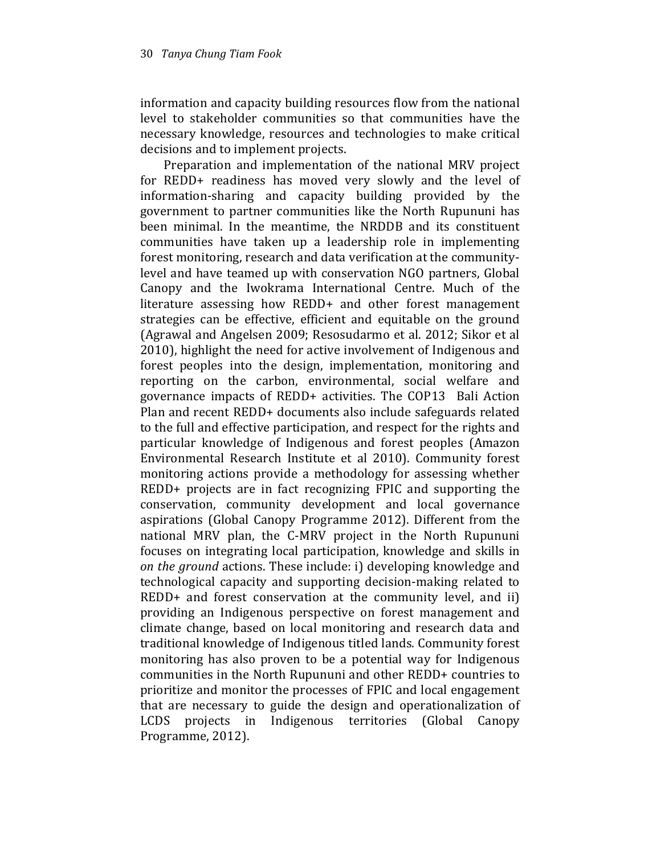information and capacity building resources flow from the national level to stakeholder communities so that communities have the necessary knowledge, resources and technologies to make critical decisions and to implement projects.

Preparation and implementation of the national MRV project for REDD+ readiness has moved very slowly and the level of information-sharing and capacity building provided by the government to partner communities like the North Rupununi has been minimal. In the meantime, the NRDDB and its constituent communities have taken up a leadership role in implementing forest monitoring, research and data verification at the communitylevel and have teamed up with conservation NGO partners, Global Canopy and the Iwokrama International Centre. Much of the literature assessing how REDD+ and other forest management strategies can be effective, efficient and equitable on the ground (Agrawal and Angelsen 2009; Resosudarmo et al. 2012; Sikor et al 2010), highlight the need for active involvement of Indigenous and forest peoples into the design, implementation, monitoring and reporting on the carbon, environmental, social welfare and governance impacts of REDD+ activities. The COP13 Bali Action Plan and recent REDD+ documents also include safeguards related to the full and effective participation, and respect for the rights and particular knowledge of Indigenous and forest peoples (Amazon Environmental Research Institute et al 2010). Community forest monitoring actions provide a methodology for assessing whether REDD+ projects are in fact recognizing FPIC and supporting the conservation, community development and local governance aspirations (Global Canopy Programme 2012). Different from the national MRV plan, the C-MRV project in the North Rupununi focuses on integrating local participation, knowledge and skills in on the ground actions. These include: i) developing knowledge and technological capacity and supporting decision-making related to REDD+ and forest conservation at the community level, and ii) providing an Indigenous perspective on forest management and climate change, based on local monitoring and research data and traditional knowledge of Indigenous titled lands. Community forest monitoring has also proven to be a potential way for Indigenous communities in the North Rupununi and other REDD+ countries to prioritize and monitor the processes of FPIC and local engagement that are necessary to guide the design and operationalization of LCDS projects in Indigenous territories (Global Canopy Programme, 2012).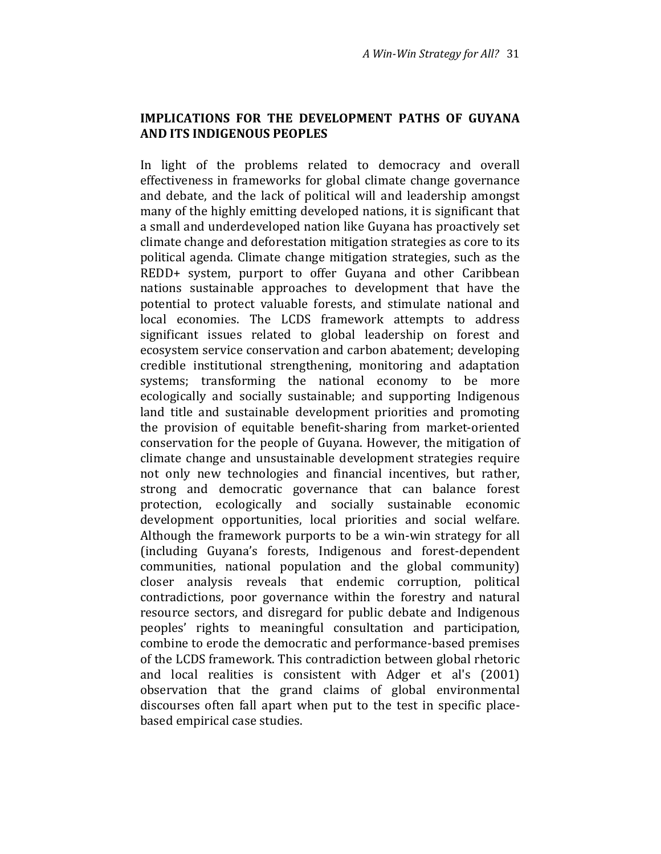## IMPLICATIONS FOR THE DEVELOPMENT PATHS OF GUYANA AND ITS INDIGENOUS PEOPLES

In light of the problems related to democracy and overall effectiveness in frameworks for global climate change governance and debate, and the lack of political will and leadership amongst many of the highly emitting developed nations, it is significant that a small and underdeveloped nation like Guyana has proactively set climate change and deforestation mitigation strategies as core to its political agenda. Climate change mitigation strategies, such as the REDD+ system, purport to offer Guyana and other Caribbean nations sustainable approaches to development that have the potential to protect valuable forests, and stimulate national and local economies. The LCDS framework attempts to address significant issues related to global leadership on forest and ecosystem service conservation and carbon abatement; developing credible institutional strengthening, monitoring and adaptation systems; transforming the national economy to be more ecologically and socially sustainable; and supporting Indigenous land title and sustainable development priorities and promoting the provision of equitable benefit-sharing from market-oriented conservation for the people of Guyana. However, the mitigation of climate change and unsustainable development strategies require not only new technologies and financial incentives, but rather, strong and democratic governance that can balance forest protection, ecologically and socially sustainable economic development opportunities, local priorities and social welfare. Although the framework purports to be a win-win strategy for all (including Guyana's forests, Indigenous and forest-dependent communities, national population and the global community) closer analysis reveals that endemic corruption, political contradictions, poor governance within the forestry and natural resource sectors, and disregard for public debate and Indigenous peoples' rights to meaningful consultation and participation, combine to erode the democratic and performance-based premises of the LCDS framework. This contradiction between global rhetoric and local realities is consistent with Adger et al's (2001) observation that the grand claims of global environmental discourses often fall apart when put to the test in specific placebased empirical case studies.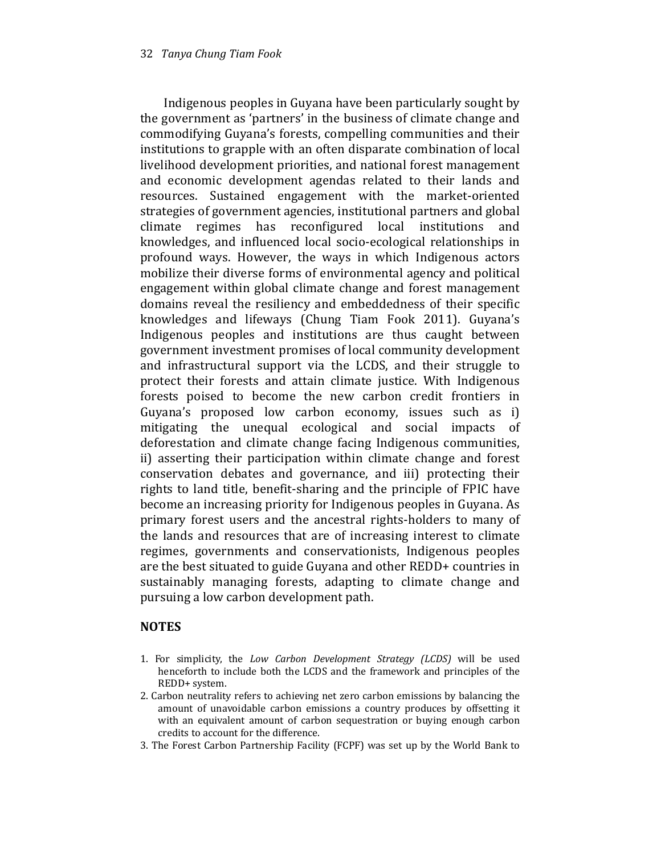Indigenous peoples in Guyana have been particularly sought by the government as 'partners' in the business of climate change and commodifying Guyana's forests, compelling communities and their institutions to grapple with an often disparate combination of local livelihood development priorities, and national forest management and economic development agendas related to their lands and resources. Sustained engagement with the market-oriented strategies of government agencies, institutional partners and global climate regimes has reconfigured local institutions and knowledges, and influenced local socio-ecological relationships in profound ways. However, the ways in which Indigenous actors mobilize their diverse forms of environmental agency and political engagement within global climate change and forest management domains reveal the resiliency and embeddedness of their specific knowledges and lifeways (Chung Tiam Fook 2011). Guyana's Indigenous peoples and institutions are thus caught between government investment promises of local community development and infrastructural support via the LCDS, and their struggle to protect their forests and attain climate justice. With Indigenous forests poised to become the new carbon credit frontiers in Guyana's proposed low carbon economy, issues such as i) mitigating the unequal ecological and social impacts of deforestation and climate change facing Indigenous communities, ii) asserting their participation within climate change and forest conservation debates and governance, and iii) protecting their rights to land title, benefit-sharing and the principle of FPIC have become an increasing priority for Indigenous peoples in Guyana. As primary forest users and the ancestral rights-holders to many of the lands and resources that are of increasing interest to climate regimes, governments and conservationists, Indigenous peoples are the best situated to guide Guyana and other REDD+ countries in sustainably managing forests, adapting to climate change and pursuing a low carbon development path.

#### NOTES

- 1. For simplicity, the Low Carbon Development Strategy (LCDS) will be used henceforth to include both the LCDS and the framework and principles of the REDD+ system.
- 2. Carbon neutrality refers to achieving net zero carbon emissions by balancing the amount of unavoidable carbon emissions a country produces by offsetting it with an equivalent amount of carbon sequestration or buying enough carbon credits to account for the difference.
- 3. The Forest Carbon Partnership Facility (FCPF) was set up by the World Bank to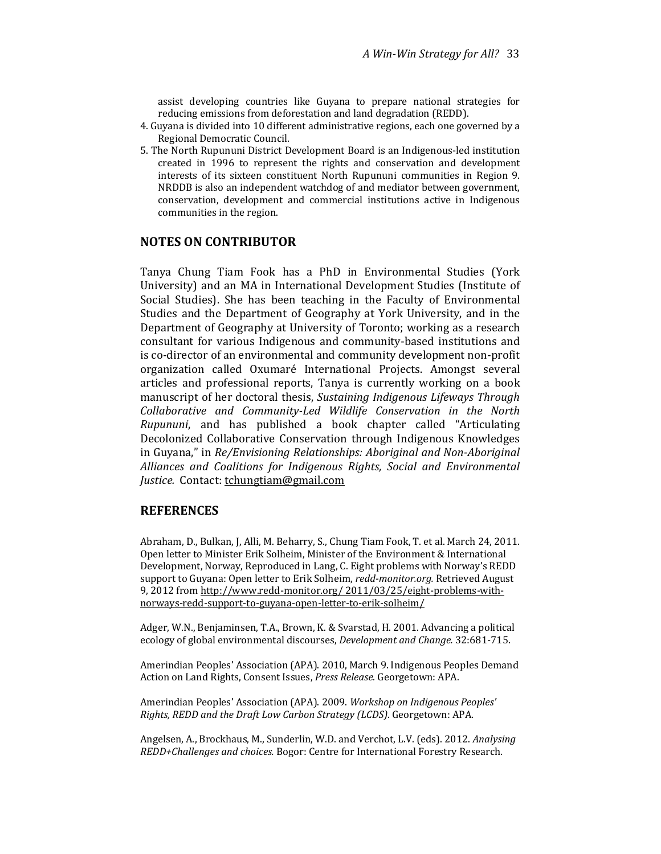assist developing countries like Guyana to prepare national strategies for reducing emissions from deforestation and land degradation (REDD).

- 4. Guyana is divided into 10 different administrative regions, each one governed by a Regional Democratic Council.
- 5. The North Rupununi District Development Board is an Indigenous-led institution created in 1996 to represent the rights and conservation and development interests of its sixteen constituent North Rupununi communities in Region 9. NRDDB is also an independent watchdog of and mediator between government, conservation, development and commercial institutions active in Indigenous communities in the region.

#### NOTES ON CONTRIBUTOR

Tanya Chung Tiam Fook has a PhD in Environmental Studies (York University) and an MA in International Development Studies (Institute of Social Studies). She has been teaching in the Faculty of Environmental Studies and the Department of Geography at York University, and in the Department of Geography at University of Toronto; working as a research consultant for various Indigenous and community-based institutions and is co-director of an environmental and community development non-profit organization called Oxumaré International Projects. Amongst several articles and professional reports, Tanya is currently working on a book manuscript of her doctoral thesis, Sustaining Indigenous Lifeways Through Collaborative and Community-Led Wildlife Conservation in the North Rupununi, and has published a book chapter called "Articulating Decolonized Collaborative Conservation through Indigenous Knowledges in Guyana," in Re/Envisioning Relationships: Aboriginal and Non-Aboriginal Alliances and Coalitions for Indigenous Rights, Social and Environmental Justice. Contact: tchungtiam@gmail.com

#### **REFERENCES**

Abraham, D., Bulkan, J, Alli, M. Beharry, S., Chung Tiam Fook, T. et al. March 24, 2011. Open letter to Minister Erik Solheim, Minister of the Environment & International Development, Norway, Reproduced in Lang, C. Eight problems with Norway's REDD support to Guyana: Open letter to Erik Solheim, redd-monitor.org. Retrieved August 9, 2012 from http://www.redd-monitor.org/ 2011/03/25/eight-problems-withnorways-redd-support-to-guyana-open-letter-to-erik-solheim/

Adger, W.N., Benjaminsen, T.A., Brown, K. & Svarstad, H. 2001. Advancing a political ecology of global environmental discourses, Development and Change. 32:681-715.

Amerindian Peoples' Association (APA). 2010, March 9. Indigenous Peoples Demand Action on Land Rights, Consent Issues, Press Release. Georgetown: APA.

Amerindian Peoples' Association (APA). 2009. Workshop on Indigenous Peoples' Rights, REDD and the Draft Low Carbon Strategy (LCDS). Georgetown: APA.

Angelsen, A., Brockhaus, M., Sunderlin, W.D. and Verchot, L.V. (eds). 2012. Analysing REDD+Challenges and choices. Bogor: Centre for International Forestry Research.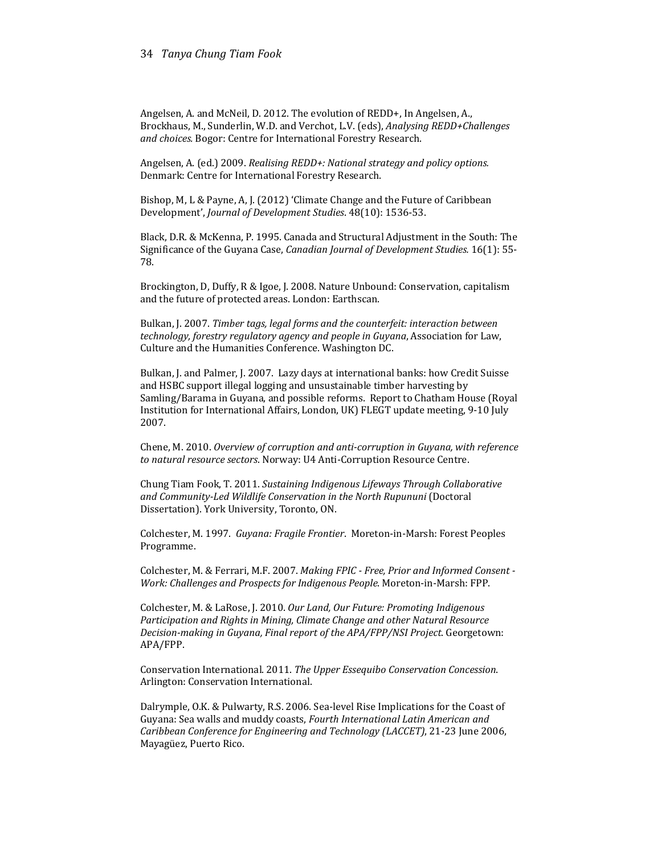#### 34 Tanya Chung Tiam Fook

Angelsen, A. and McNeil, D. 2012. The evolution of REDD+, In Angelsen, A., Brockhaus, M., Sunderlin, W.D. and Verchot, L.V. (eds), Analysing REDD+Challenges and choices. Bogor: Centre for International Forestry Research.

Angelsen, A. (ed.) 2009. Realising REDD+: National strategy and policy options. Denmark: Centre for International Forestry Research.

Bishop, M, L & Payne, A, J. (2012) 'Climate Change and the Future of Caribbean Development', Journal of Development Studies. 48(10): 1536-53.

Black, D.R. & McKenna, P. 1995. Canada and Structural Adjustment in the South: The Significance of the Guyana Case, Canadian Journal of Development Studies. 16(1): 55- 78.

Brockington, D, Duffy, R & Igoe, J. 2008. Nature Unbound: Conservation, capitalism and the future of protected areas. London: Earthscan.

Bulkan, J. 2007. Timber tags, legal forms and the counterfeit: interaction between technology, forestry regulatory agency and people in Guyana, Association for Law, Culture and the Humanities Conference. Washington DC.

Bulkan, J. and Palmer, J. 2007. Lazy days at international banks: how Credit Suisse and HSBC support illegal logging and unsustainable timber harvesting by Samling/Barama in Guyana, and possible reforms. Report to Chatham House (Royal Institution for International Affairs, London, UK) FLEGT update meeting, 9-10 July 2007.

Chene, M. 2010. Overview of corruption and anti-corruption in Guyana, with reference to natural resource sectors. Norway: U4 Anti-Corruption Resource Centre.

Chung Tiam Fook, T. 2011. Sustaining Indigenous Lifeways Through Collaborative and Community-Led Wildlife Conservation in the North Rupununi (Doctoral Dissertation). York University, Toronto, ON.

Colchester, M. 1997. Guyana: Fragile Frontier. Moreton-in-Marsh: Forest Peoples Programme.

Colchester, M. & Ferrari, M.F. 2007. Making FPIC - Free, Prior and Informed Consent - Work: Challenges and Prospects for Indigenous People. Moreton-in-Marsh: FPP.

Colchester, M. & LaRose, J. 2010. Our Land, Our Future: Promoting Indigenous Participation and Rights in Mining, Climate Change and other Natural Resource Decision-making in Guyana, Final report of the APA/FPP/NSI Project. Georgetown: APA/FPP.

Conservation International. 2011. The Upper Essequibo Conservation Concession. Arlington: Conservation International.

Dalrymple, O.K. & Pulwarty, R.S. 2006. Sea-level Rise Implications for the Coast of Guyana: Sea walls and muddy coasts, Fourth International Latin American and Caribbean Conference for Engineering and Technology (LACCET), 21-23 June 2006, Mayagüez, Puerto Rico.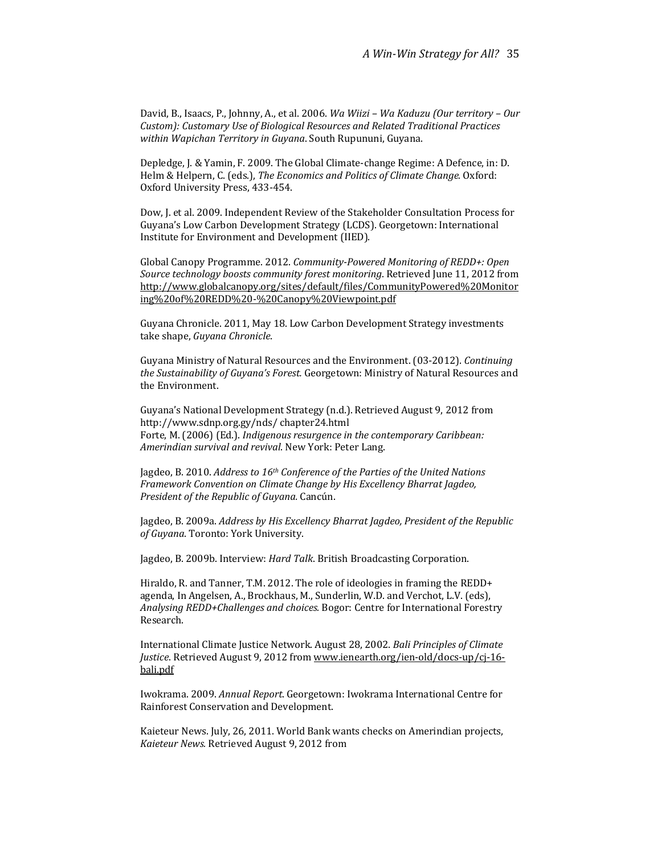David, B., Isaacs, P., Johnny, A., et al. 2006. Wa Wiizi – Wa Kaduzu (Our territory – Our Custom): Customary Use of Biological Resources and Related Traditional Practices within Wapichan Territory in Guyana. South Rupununi, Guyana.

Depledge, J. & Yamin, F. 2009. The Global Climate-change Regime: A Defence, in: D. Helm & Helpern, C. (eds.), The Economics and Politics of Climate Change. Oxford: Oxford University Press, 433-454.

Dow, J. et al. 2009. Independent Review of the Stakeholder Consultation Process for Guyana's Low Carbon Development Strategy (LCDS). Georgetown: International Institute for Environment and Development (IIED).

Global Canopy Programme. 2012. Community-Powered Monitoring of REDD+: Open Source technology boosts community forest monitoring. Retrieved June 11, 2012 from http://www.globalcanopy.org/sites/default/files/CommunityPowered%20Monitor ing%20of%20REDD%20-%20Canopy%20Viewpoint.pdf

Guyana Chronicle. 2011, May 18. Low Carbon Development Strategy investments take shape, Guyana Chronicle.

Guyana Ministry of Natural Resources and the Environment. (03-2012). Continuing the Sustainability of Guyana's Forest. Georgetown: Ministry of Natural Resources and the Environment.

Guyana's National Development Strategy (n.d.). Retrieved August 9, 2012 from http://www.sdnp.org.gy/nds/ chapter24.html Forte, M. (2006) (Ed.). Indigenous resurgence in the contemporary Caribbean: Amerindian survival and revival. New York: Peter Lang.

Jagdeo, B. 2010. Address to 16<sup>th</sup> Conference of the Parties of the United Nations Framework Convention on Climate Change by His Excellency Bharrat Jagdeo, President of the Republic of Guyana. Cancún.

Jagdeo, B. 2009a. Address by His Excellency Bharrat Jagdeo, President of the Republic of Guyana. Toronto: York University.

Jagdeo, B. 2009b. Interview: Hard Talk. British Broadcasting Corporation.

Hiraldo, R. and Tanner, T.M. 2012. The role of ideologies in framing the REDD+ agenda, In Angelsen, A., Brockhaus, M., Sunderlin, W.D. and Verchot, L.V. (eds), Analysing REDD+Challenges and choices. Bogor: Centre for International Forestry Research.

International Climate Justice Network. August 28, 2002. Bali Principles of Climate Justice. Retrieved August 9, 2012 from www.ienearth.org/ien-old/docs-up/cj-16bali.pdf

Iwokrama. 2009. Annual Report. Georgetown: Iwokrama International Centre for Rainforest Conservation and Development.

Kaieteur News. July, 26, 2011. World Bank wants checks on Amerindian projects, Kaieteur News. Retrieved August 9, 2012 from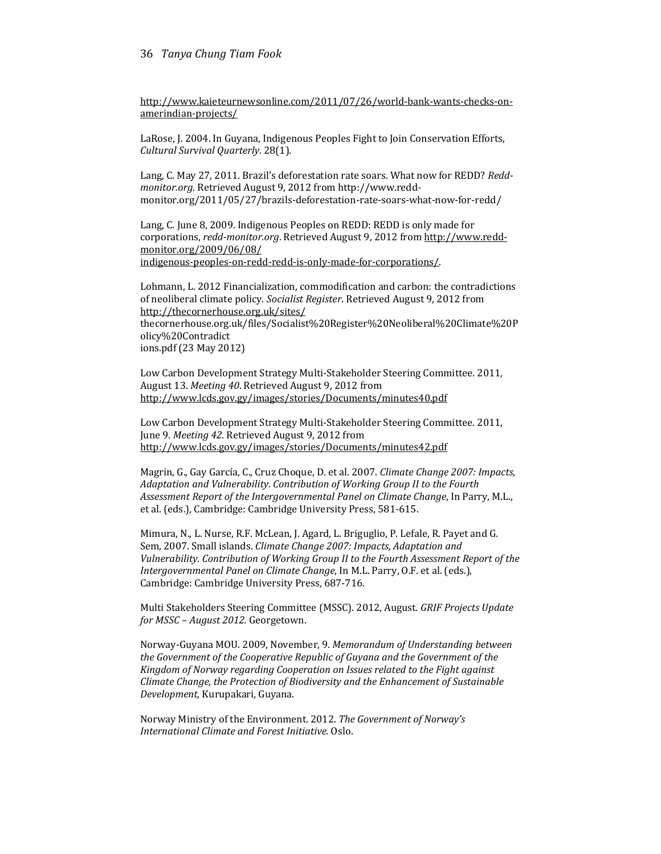http://www.kaieteurnewsonline.com/2011/07/26/world-bank-wants-checks-onamerindian-projects/

LaRose, J. 2004. In Guyana, Indigenous Peoples Fight to Join Conservation Efforts, Cultural Survival Quarterly. 28(1).

Lang, C. May 27, 2011. Brazil's deforestation rate soars. What now for REDD? Reddmonitor.org. Retrieved August 9, 2012 from http://www.reddmonitor.org/2011/05/27/brazils-deforestation-rate-soars-what-now-for-redd/

Lang, C. June 8, 2009. Indigenous Peoples on REDD: REDD is only made for corporations, redd-monitor.org. Retrieved August 9, 2012 from http://www.reddmonitor.org/2009/06/08/ indigenous-peoples-on-redd-redd-is-only-made-for-corporations/.

Lohmann, L. 2012 Financialization, commodification and carbon: the contradictions of neoliberal climate policy. Socialist Register. Retrieved August 9, 2012 from http://thecornerhouse.org.uk/sites/ thecornerhouse.org.uk/files/Socialist%20Register%20Neoliberal%20Climate%20P olicy%20Contradict ions.pdf (23 May 2012)

Low Carbon Development Strategy Multi-Stakeholder Steering Committee. 2011, August 13. Meeting 40. Retrieved August 9, 2012 from http://www.lcds.gov.gy/images/stories/Documents/minutes40.pdf

Low Carbon Development Strategy Multi-Stakeholder Steering Committee. 2011, June 9. Meeting 42. Retrieved August 9, 2012 from http://www.lcds.gov.gy/images/stories/Documents/minutes42.pdf

Magrin, G., Gay García, C., Cruz Choque, D. et al. 2007. Climate Change 2007: Impacts, Adaptation and Vulnerability. Contribution of Working Group II to the Fourth Assessment Report of the Intergovernmental Panel on Climate Change, In Parry, M.L., et al. (eds.), Cambridge: Cambridge University Press, 581-615.

Mimura, N., L. Nurse, R.F. McLean, J. Agard, L. Briguglio, P. Lefale, R. Payet and G. Sem, 2007. Small islands. Climate Change 2007: Impacts, Adaptation and Vulnerability. Contribution of Working Group II to the Fourth Assessment Report of the Intergovernmental Panel on Climate Change, In M.L. Parry, O.F. et al. (eds.), Cambridge: Cambridge University Press, 687-716.

Multi Stakeholders Steering Committee (MSSC). 2012, August. GRIF Projects Update for MSSC – August 2012. Georgetown.

Norway-Guyana MOU. 2009, November, 9. Memorandum of Understanding between the Government of the Cooperative Republic of Guyana and the Government of the Kingdom of Norway regarding Cooperation on Issues related to the Fight against Climate Change, the Protection of Biodiversity and the Enhancement of Sustainable Development, Kurupakari, Guyana.

Norway Ministry of the Environment. 2012. The Government of Norway's International Climate and Forest Initiative. Oslo.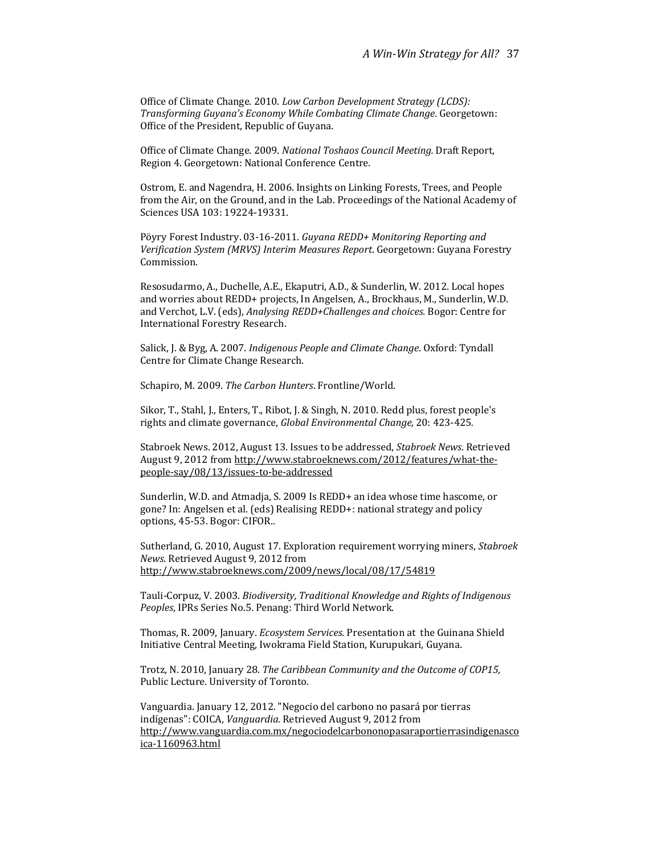Office of Climate Change. 2010. Low Carbon Development Strategy (LCDS): Transforming Guyana's Economy While Combating Climate Change. Georgetown: Office of the President, Republic of Guyana.

Office of Climate Change. 2009. National Toshaos Council Meeting. Draft Report, Region 4. Georgetown: National Conference Centre.

Ostrom, E. and Nagendra, H. 2006. Insights on Linking Forests, Trees, and People from the Air, on the Ground, and in the Lab. Proceedings of the National Academy of Sciences USA 103: 19224-19331.

Pöyry Forest Industry. 03-16-2011. Guyana REDD+ Monitoring Reporting and Verification System (MRVS) Interim Measures Report. Georgetown: Guyana Forestry Commission.

Resosudarmo, A., Duchelle, A.E., Ekaputri, A.D., & Sunderlin, W. 2012. Local hopes and worries about REDD+ projects, In Angelsen, A., Brockhaus, M., Sunderlin, W.D. and Verchot, L.V. (eds), Analysing REDD+Challenges and choices. Bogor: Centre for International Forestry Research.

Salick, J. & Byg, A. 2007. Indigenous People and Climate Change. Oxford: Tyndall Centre for Climate Change Research.

Schapiro, M. 2009. The Carbon Hunters. Frontline/World.

Sikor, T., Stahl, J., Enters, T., Ribot, J. & Singh, N. 2010. Redd plus, forest people's rights and climate governance, Global Environmental Change, 20: 423-425.

Stabroek News. 2012, August 13. Issues to be addressed, Stabroek News. Retrieved August 9, 2012 from http://www.stabroeknews.com/2012/features/what-thepeople-say/08/13/issues-to-be-addressed

Sunderlin, W.D. and Atmadja, S. 2009 Is REDD+ an idea whose time hascome, or gone? In: Angelsen et al. (eds) Realising REDD+: national strategy and policy options, 45-53. Bogor: CIFOR..

Sutherland, G. 2010, August 17. Exploration requirement worrying miners, Stabroek News. Retrieved August 9, 2012 from http://www.stabroeknews.com/2009/news/local/08/17/54819

Tauli-Corpuz, V. 2003. Biodiversity, Traditional Knowledge and Rights of Indigenous Peoples, IPRs Series No.5. Penang: Third World Network.

Thomas, R. 2009, January. Ecosystem Services. Presentation at the Guinana Shield Initiative Central Meeting, Iwokrama Field Station, Kurupukari, Guyana.

Trotz, N. 2010, January 28. The Caribbean Community and the Outcome of COP15, Public Lecture. University of Toronto.

Vanguardia. January 12, 2012. "Negocio del carbono no pasará por tierras indígenas": COICA, Vanguardia. Retrieved August 9, 2012 from http://www.vanguardia.com.mx/negociodelcarbononopasaraportierrasindigenasco ica-1160963.html